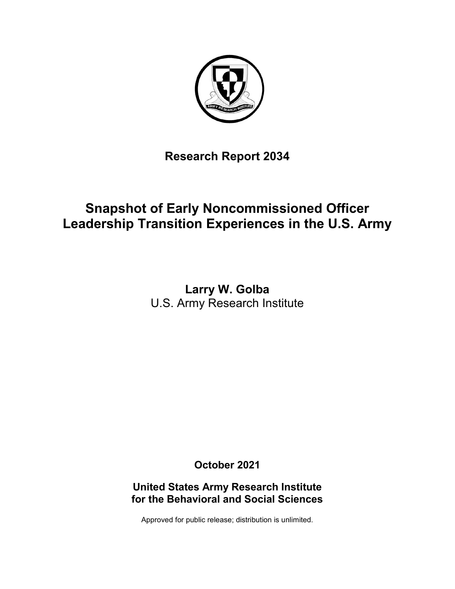

**Research Report 2034**

# **Snapshot of Early Noncommissioned Officer Leadership Transition Experiences in the U.S. Army**

**Larry W. Golba** U.S. Army Research Institute

**October 2021**

**United States Army Research Institute for the Behavioral and Social Sciences**

Approved for public release; distribution is unlimited.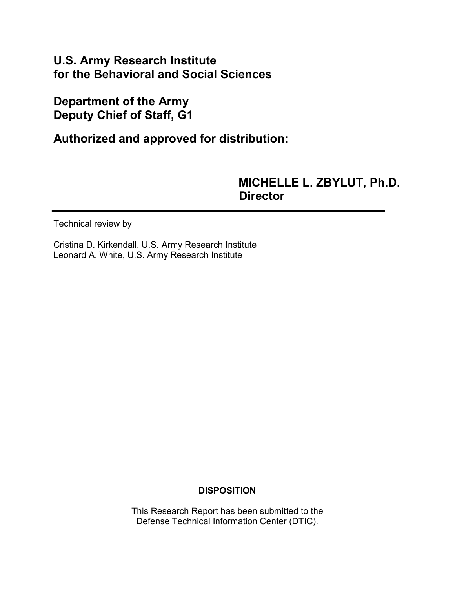# **U.S. Army Research Institute for the Behavioral and Social Sciences**

# **Department of the Army Deputy Chief of Staff, G1**

**Authorized and approved for distribution:**

# **MICHELLE L. ZBYLUT, Ph.D. Director**

Technical review by

Cristina D. Kirkendall, U.S. Army Research Institute Leonard A. White, U.S. Army Research Institute

## **DISPOSITION**

This Research Report has been submitted to the Defense Technical Information Center (DTIC).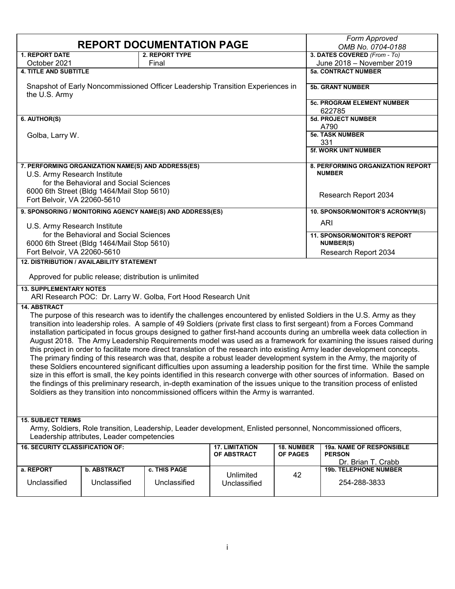| <b>REPORT DOCUMENTATION PAGE</b>                                                                                                                             |                                                                                                                             |                                                           |                                                                                         |            | Form Approved<br>OMB No. 0704-0188                                                                                            |
|--------------------------------------------------------------------------------------------------------------------------------------------------------------|-----------------------------------------------------------------------------------------------------------------------------|-----------------------------------------------------------|-----------------------------------------------------------------------------------------|------------|-------------------------------------------------------------------------------------------------------------------------------|
| <b>1. REPORT DATE</b>                                                                                                                                        |                                                                                                                             | <b>2. REPORT TYPE</b>                                     |                                                                                         |            | 3. DATES COVERED (From - To)                                                                                                  |
| October 2021                                                                                                                                                 |                                                                                                                             | Final                                                     |                                                                                         |            | June 2018 - November 2019                                                                                                     |
| <b>4. TITLE AND SUBTITLE</b>                                                                                                                                 |                                                                                                                             |                                                           |                                                                                         |            | <b>5a. CONTRACT NUMBER</b>                                                                                                    |
| Snapshot of Early Noncommissioned Officer Leadership Transition Experiences in<br>the U.S. Army                                                              |                                                                                                                             |                                                           |                                                                                         |            | <b>5b. GRANT NUMBER</b>                                                                                                       |
|                                                                                                                                                              |                                                                                                                             |                                                           |                                                                                         |            | <b>5c. PROGRAM ELEMENT NUMBER</b><br>622785                                                                                   |
| 6. AUTHOR(S)                                                                                                                                                 |                                                                                                                             |                                                           |                                                                                         |            | 5d. PROJECT NUMBER<br>A790                                                                                                    |
| Golba, Larry W.                                                                                                                                              |                                                                                                                             |                                                           |                                                                                         |            | <b>5e. TASK NUMBER</b><br>331                                                                                                 |
|                                                                                                                                                              |                                                                                                                             |                                                           |                                                                                         |            | <b>5f. WORK UNIT NUMBER</b>                                                                                                   |
|                                                                                                                                                              | 7. PERFORMING ORGANIZATION NAME(S) AND ADDRESS(ES)                                                                          |                                                           |                                                                                         |            | 8. PERFORMING ORGANIZATION REPORT                                                                                             |
| U.S. Army Research Institute                                                                                                                                 |                                                                                                                             |                                                           |                                                                                         |            | <b>NUMBER</b>                                                                                                                 |
|                                                                                                                                                              | for the Behavioral and Social Sciences                                                                                      |                                                           |                                                                                         |            |                                                                                                                               |
|                                                                                                                                                              | 6000 6th Street (Bldg 1464/Mail Stop 5610)                                                                                  |                                                           |                                                                                         |            |                                                                                                                               |
| Fort Belvoir, VA 22060-5610                                                                                                                                  |                                                                                                                             |                                                           |                                                                                         |            | Research Report 2034                                                                                                          |
|                                                                                                                                                              |                                                                                                                             | 9. SPONSORING / MONITORING AGENCY NAME(S) AND ADDRESS(ES) |                                                                                         |            | 10. SPONSOR/MONITOR'S ACRONYM(S)                                                                                              |
|                                                                                                                                                              |                                                                                                                             |                                                           |                                                                                         |            | <b>ARI</b>                                                                                                                    |
| U.S. Army Research Institute                                                                                                                                 |                                                                                                                             |                                                           |                                                                                         |            |                                                                                                                               |
|                                                                                                                                                              | for the Behavioral and Social Sciences                                                                                      |                                                           |                                                                                         |            | 11. SPONSOR/MONITOR'S REPORT                                                                                                  |
|                                                                                                                                                              | 6000 6th Street (Bldg 1464/Mail Stop 5610)                                                                                  |                                                           |                                                                                         |            | <b>NUMBER(S)</b>                                                                                                              |
| Fort Belvoir, VA 22060-5610                                                                                                                                  |                                                                                                                             |                                                           |                                                                                         |            | Research Report 2034                                                                                                          |
| 12. DISTRIBUTION / AVAILABILITY STATEMENT                                                                                                                    |                                                                                                                             |                                                           |                                                                                         |            |                                                                                                                               |
|                                                                                                                                                              | Approved for public release; distribution is unlimited                                                                      |                                                           |                                                                                         |            |                                                                                                                               |
| <b>13. SUPPLEMENTARY NOTES</b><br>ARI Research POC: Dr. Larry W. Golba, Fort Hood Research Unit                                                              |                                                                                                                             |                                                           |                                                                                         |            |                                                                                                                               |
| <b>14. ABSTRACT</b>                                                                                                                                          |                                                                                                                             |                                                           |                                                                                         |            |                                                                                                                               |
| The purpose of this research was to identify the challenges encountered by enlisted Soldiers in the U.S. Army as they                                        |                                                                                                                             |                                                           |                                                                                         |            |                                                                                                                               |
| transition into leadership roles. A sample of 49 Soldiers (private first class to first sergeant) from a Forces Command                                      |                                                                                                                             |                                                           |                                                                                         |            |                                                                                                                               |
| installation participated in focus groups designed to gather first-hand accounts during an umbrella week data collection in                                  |                                                                                                                             |                                                           |                                                                                         |            |                                                                                                                               |
|                                                                                                                                                              | August 2018. The Army Leadership Requirements model was used as a framework for examining the issues raised during          |                                                           |                                                                                         |            |                                                                                                                               |
|                                                                                                                                                              | this project in order to facilitate more direct translation of the research into existing Army leader development concepts. |                                                           |                                                                                         |            |                                                                                                                               |
|                                                                                                                                                              |                                                                                                                             |                                                           |                                                                                         |            | The primary finding of this research was that, despite a robust leader development system in the Army, the majority of        |
|                                                                                                                                                              |                                                                                                                             |                                                           |                                                                                         |            | these Soldiers encountered significant difficulties upon assuming a leadership position for the first time. While the sample  |
|                                                                                                                                                              |                                                                                                                             |                                                           |                                                                                         |            | size in this effort is small, the key points identified in this research converge with other sources of information. Based on |
|                                                                                                                                                              |                                                                                                                             |                                                           |                                                                                         |            | the findings of this preliminary research, in-depth examination of the issues unique to the transition process of enlisted    |
|                                                                                                                                                              |                                                                                                                             |                                                           | Soldiers as they transition into noncommissioned officers within the Army is warranted. |            |                                                                                                                               |
|                                                                                                                                                              |                                                                                                                             |                                                           |                                                                                         |            |                                                                                                                               |
|                                                                                                                                                              |                                                                                                                             |                                                           |                                                                                         |            |                                                                                                                               |
| <b>15. SUBJECT TERMS</b>                                                                                                                                     |                                                                                                                             |                                                           |                                                                                         |            |                                                                                                                               |
| Army, Soldiers, Role transition, Leadership, Leader development, Enlisted personnel, Noncommissioned officers,<br>Leadership attributes, Leader competencies |                                                                                                                             |                                                           |                                                                                         |            |                                                                                                                               |
| <b>16. SECURITY CLASSIFICATION OF:</b>                                                                                                                       |                                                                                                                             |                                                           | <b>17. LIMITATION</b>                                                                   | 18. NUMBER | 19a. NAME OF RESPONSIBLE                                                                                                      |
| OF ABSTRACT<br><b>OF PAGES</b>                                                                                                                               |                                                                                                                             |                                                           | <b>PERSON</b>                                                                           |            |                                                                                                                               |
| a. REPORT                                                                                                                                                    | <b>b. ABSTRACT</b>                                                                                                          | c. THIS PAGE                                              |                                                                                         |            | Dr. Brian T. Crabb<br><b>19b. TELEPHONE NUMBER</b>                                                                            |
|                                                                                                                                                              |                                                                                                                             |                                                           | Unlimited                                                                               | 42         |                                                                                                                               |
| Unclassified                                                                                                                                                 | Unclassified                                                                                                                | Unclassified                                              | Unclassified                                                                            |            | 254-288-3833                                                                                                                  |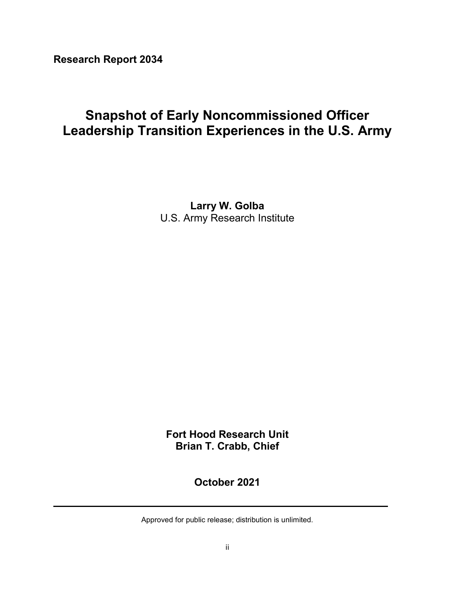**Research Report 2034**

# **Snapshot of Early Noncommissioned Officer Leadership Transition Experiences in the U.S. Army**

**Larry W. Golba** U.S. Army Research Institute

**Fort Hood Research Unit Brian T. Crabb, Chief**

**October 2021**

Approved for public release; distribution is unlimited.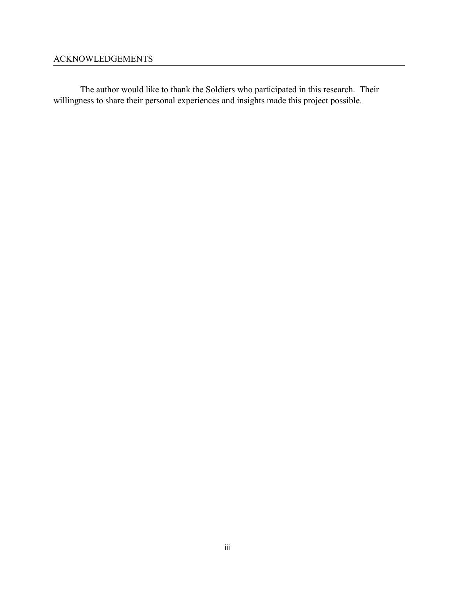## ACKNOWLEDGEMENTS

The author would like to thank the Soldiers who participated in this research. Their willingness to share their personal experiences and insights made this project possible.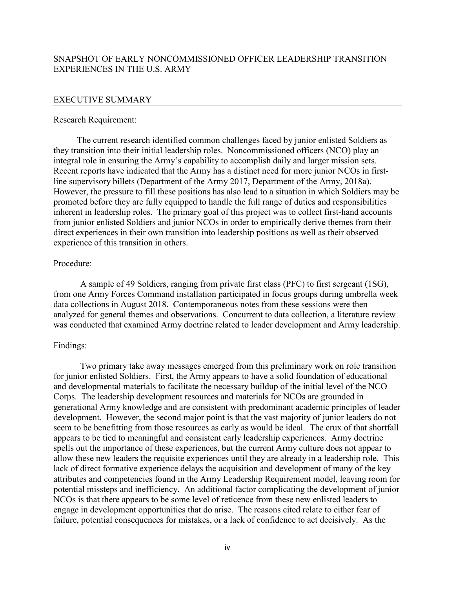#### SNAPSHOT OF EARLY NONCOMMISSIONED OFFICER LEADERSHIP TRANSITION EXPERIENCES IN THE U.S. ARMY

#### EXECUTIVE SUMMARY

#### Research Requirement:

The current research identified common challenges faced by junior enlisted Soldiers as they transition into their initial leadership roles. Noncommissioned officers (NCO) play an integral role in ensuring the Army's capability to accomplish daily and larger mission sets. Recent reports have indicated that the Army has a distinct need for more junior NCOs in firstline supervisory billets (Department of the Army 2017, Department of the Army, 2018a). However, the pressure to fill these positions has also lead to a situation in which Soldiers may be promoted before they are fully equipped to handle the full range of duties and responsibilities inherent in leadership roles. The primary goal of this project was to collect first-hand accounts from junior enlisted Soldiers and junior NCOs in order to empirically derive themes from their direct experiences in their own transition into leadership positions as well as their observed experience of this transition in others.

#### Procedure:

A sample of 49 Soldiers, ranging from private first class (PFC) to first sergeant (1SG), from one Army Forces Command installation participated in focus groups during umbrella week data collections in August 2018. Contemporaneous notes from these sessions were then analyzed for general themes and observations. Concurrent to data collection, a literature review was conducted that examined Army doctrine related to leader development and Army leadership.

#### Findings:

Two primary take away messages emerged from this preliminary work on role transition for junior enlisted Soldiers. First, the Army appears to have a solid foundation of educational and developmental materials to facilitate the necessary buildup of the initial level of the NCO Corps. The leadership development resources and materials for NCOs are grounded in generational Army knowledge and are consistent with predominant academic principles of leader development. However, the second major point is that the vast majority of junior leaders do not seem to be benefitting from those resources as early as would be ideal. The crux of that shortfall appears to be tied to meaningful and consistent early leadership experiences. Army doctrine spells out the importance of these experiences, but the current Army culture does not appear to allow these new leaders the requisite experiences until they are already in a leadership role. This lack of direct formative experience delays the acquisition and development of many of the key attributes and competencies found in the Army Leadership Requirement model, leaving room for potential missteps and inefficiency. An additional factor complicating the development of junior NCOs is that there appears to be some level of reticence from these new enlisted leaders to engage in development opportunities that do arise. The reasons cited relate to either fear of failure, potential consequences for mistakes, or a lack of confidence to act decisively. As the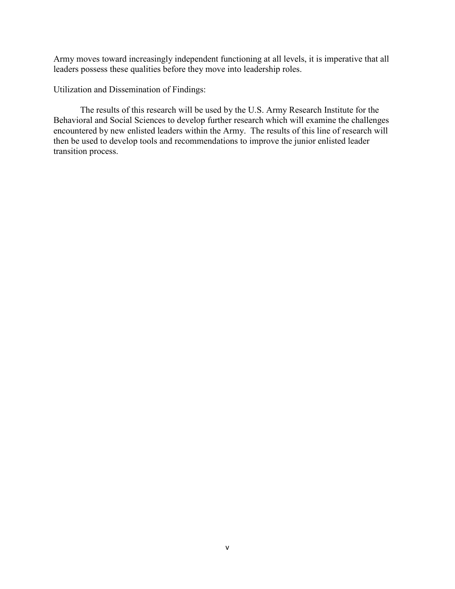Army moves toward increasingly independent functioning at all levels, it is imperative that all leaders possess these qualities before they move into leadership roles.

Utilization and Dissemination of Findings:

The results of this research will be used by the U.S. Army Research Institute for the Behavioral and Social Sciences to develop further research which will examine the challenges encountered by new enlisted leaders within the Army. The results of this line of research will then be used to develop tools and recommendations to improve the junior enlisted leader transition process.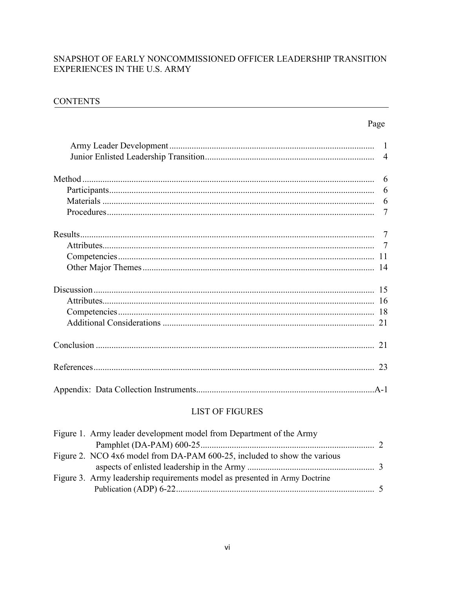## SNAPSHOT OF EARLY NONCOMMISSIONED OFFICER LEADERSHIP TRANSITION EXPERIENCES IN THE U.S. ARMY

### **CONTENTS**

## Page

| 6      |
|--------|
| 6      |
|        |
| $\tau$ |
|        |
|        |
|        |
|        |
|        |
|        |
| 18     |
| 21     |
| 21     |
|        |
|        |

## **LIST OF FIGURES**

| Figure 1. Army leader development model from Department of the Army        |  |
|----------------------------------------------------------------------------|--|
|                                                                            |  |
| Figure 2. NCO 4x6 model from DA-PAM 600-25, included to show the various   |  |
|                                                                            |  |
| Figure 3. Army leadership requirements model as presented in Army Doctrine |  |
|                                                                            |  |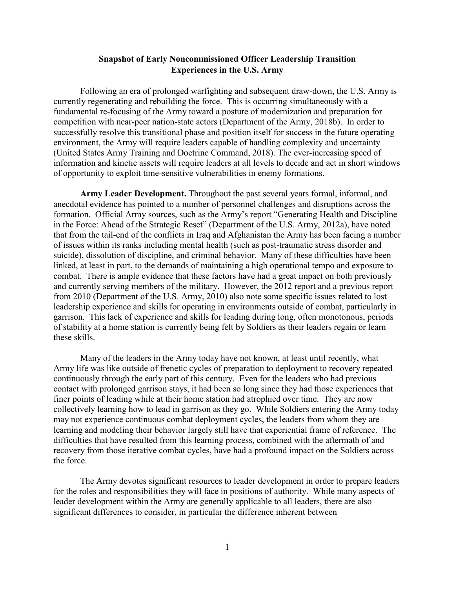#### **Snapshot of Early Noncommissioned Officer Leadership Transition Experiences in the U.S. Army**

Following an era of prolonged warfighting and subsequent draw-down, the U.S. Army is currently regenerating and rebuilding the force. This is occurring simultaneously with a fundamental re-focusing of the Army toward a posture of modernization and preparation for competition with near-peer nation-state actors (Department of the Army, 2018b). In order to successfully resolve this transitional phase and position itself for success in the future operating environment, the Army will require leaders capable of handling complexity and uncertainty (United States Army Training and Doctrine Command, 2018). The ever-increasing speed of information and kinetic assets will require leaders at all levels to decide and act in short windows of opportunity to exploit time-sensitive vulnerabilities in enemy formations.

**Army Leader Development.** Throughout the past several years formal, informal, and anecdotal evidence has pointed to a number of personnel challenges and disruptions across the formation. Official Army sources, such as the Army's report "Generating Health and Discipline in the Force: Ahead of the Strategic Reset" (Department of the U.S. Army, 2012a), have noted that from the tail-end of the conflicts in Iraq and Afghanistan the Army has been facing a number of issues within its ranks including mental health (such as post-traumatic stress disorder and suicide), dissolution of discipline, and criminal behavior. Many of these difficulties have been linked, at least in part, to the demands of maintaining a high operational tempo and exposure to combat. There is ample evidence that these factors have had a great impact on both previously and currently serving members of the military. However, the 2012 report and a previous report from 2010 (Department of the U.S. Army, 2010) also note some specific issues related to lost leadership experience and skills for operating in environments outside of combat, particularly in garrison. This lack of experience and skills for leading during long, often monotonous, periods of stability at a home station is currently being felt by Soldiers as their leaders regain or learn these skills.

Many of the leaders in the Army today have not known, at least until recently, what Army life was like outside of frenetic cycles of preparation to deployment to recovery repeated continuously through the early part of this century. Even for the leaders who had previous contact with prolonged garrison stays, it had been so long since they had those experiences that finer points of leading while at their home station had atrophied over time. They are now collectively learning how to lead in garrison as they go. While Soldiers entering the Army today may not experience continuous combat deployment cycles, the leaders from whom they are learning and modeling their behavior largely still have that experiential frame of reference. The difficulties that have resulted from this learning process, combined with the aftermath of and recovery from those iterative combat cycles, have had a profound impact on the Soldiers across the force.

The Army devotes significant resources to leader development in order to prepare leaders for the roles and responsibilities they will face in positions of authority. While many aspects of leader development within the Army are generally applicable to all leaders, there are also significant differences to consider, in particular the difference inherent between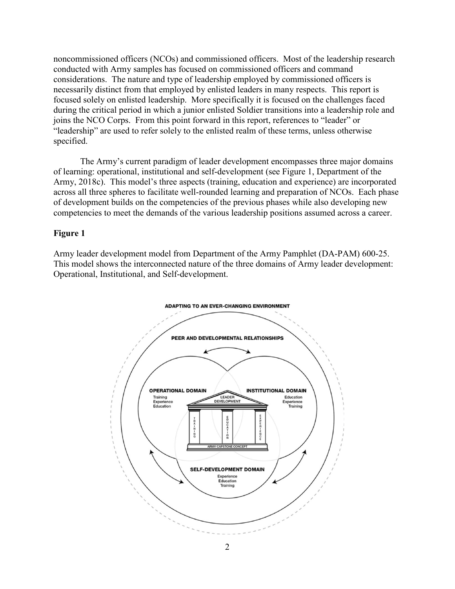noncommissioned officers (NCOs) and commissioned officers. Most of the leadership research conducted with Army samples has focused on commissioned officers and command considerations. The nature and type of leadership employed by commissioned officers is necessarily distinct from that employed by enlisted leaders in many respects. This report is focused solely on enlisted leadership. More specifically it is focused on the challenges faced during the critical period in which a junior enlisted Soldier transitions into a leadership role and joins the NCO Corps. From this point forward in this report, references to "leader" or "leadership" are used to refer solely to the enlisted realm of these terms, unless otherwise specified.

The Army's current paradigm of leader development encompasses three major domains of learning: operational, institutional and self-development (see Figure 1, Department of the Army, 2018c). This model's three aspects (training, education and experience) are incorporated across all three spheres to facilitate well-rounded learning and preparation of NCOs. Each phase of development builds on the competencies of the previous phases while also developing new competencies to meet the demands of the various leadership positions assumed across a career.

#### **Figure 1**

Army leader development model from Department of the Army Pamphlet (DA-PAM) 600-25. This model shows the interconnected nature of the three domains of Army leader development: Operational, Institutional, and Self-development.

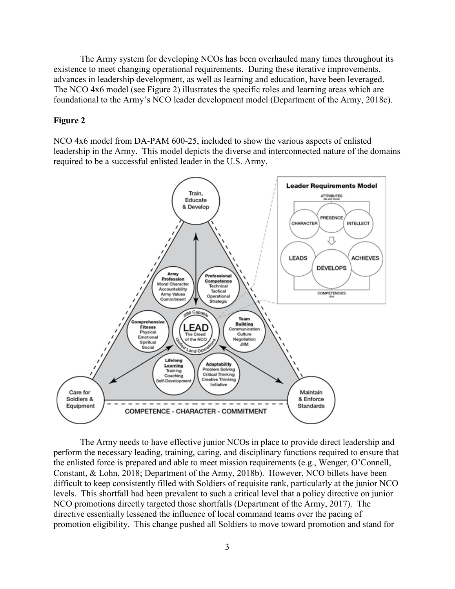The Army system for developing NCOs has been overhauled many times throughout its existence to meet changing operational requirements. During these iterative improvements, advances in leadership development, as well as learning and education, have been leveraged. The NCO 4x6 model (see Figure 2) illustrates the specific roles and learning areas which are foundational to the Army's NCO leader development model (Department of the Army, 2018c).

#### **Figure 2**

NCO 4x6 model from DA-PAM 600-25, included to show the various aspects of enlisted leadership in the Army. This model depicts the diverse and interconnected nature of the domains required to be a successful enlisted leader in the U.S. Army.



The Army needs to have effective junior NCOs in place to provide direct leadership and perform the necessary leading, training, caring, and disciplinary functions required to ensure that the enlisted force is prepared and able to meet mission requirements (e.g., Wenger, O'Connell, Constant, & Lohn, 2018; Department of the Army, 2018b). However, NCO billets have been difficult to keep consistently filled with Soldiers of requisite rank, particularly at the junior NCO levels. This shortfall had been prevalent to such a critical level that a policy directive on junior NCO promotions directly targeted those shortfalls (Department of the Army, 2017). The directive essentially lessened the influence of local command teams over the pacing of promotion eligibility. This change pushed all Soldiers to move toward promotion and stand for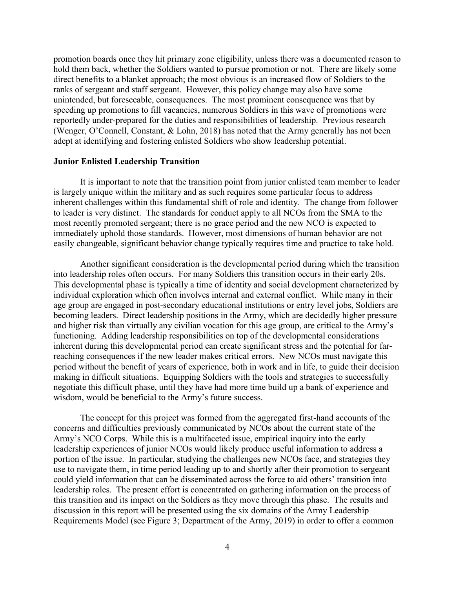promotion boards once they hit primary zone eligibility, unless there was a documented reason to hold them back, whether the Soldiers wanted to pursue promotion or not. There are likely some direct benefits to a blanket approach; the most obvious is an increased flow of Soldiers to the ranks of sergeant and staff sergeant. However, this policy change may also have some unintended, but foreseeable, consequences. The most prominent consequence was that by speeding up promotions to fill vacancies, numerous Soldiers in this wave of promotions were reportedly under-prepared for the duties and responsibilities of leadership. Previous research (Wenger, O'Connell, Constant, & Lohn, 2018) has noted that the Army generally has not been adept at identifying and fostering enlisted Soldiers who show leadership potential.

#### **Junior Enlisted Leadership Transition**

It is important to note that the transition point from junior enlisted team member to leader is largely unique within the military and as such requires some particular focus to address inherent challenges within this fundamental shift of role and identity. The change from follower to leader is very distinct. The standards for conduct apply to all NCOs from the SMA to the most recently promoted sergeant; there is no grace period and the new NCO is expected to immediately uphold those standards. However, most dimensions of human behavior are not easily changeable, significant behavior change typically requires time and practice to take hold.

Another significant consideration is the developmental period during which the transition into leadership roles often occurs. For many Soldiers this transition occurs in their early 20s. This developmental phase is typically a time of identity and social development characterized by individual exploration which often involves internal and external conflict. While many in their age group are engaged in post-secondary educational institutions or entry level jobs, Soldiers are becoming leaders. Direct leadership positions in the Army, which are decidedly higher pressure and higher risk than virtually any civilian vocation for this age group, are critical to the Army's functioning. Adding leadership responsibilities on top of the developmental considerations inherent during this developmental period can create significant stress and the potential for farreaching consequences if the new leader makes critical errors. New NCOs must navigate this period without the benefit of years of experience, both in work and in life, to guide their decision making in difficult situations. Equipping Soldiers with the tools and strategies to successfully negotiate this difficult phase, until they have had more time build up a bank of experience and wisdom, would be beneficial to the Army's future success.

The concept for this project was formed from the aggregated first-hand accounts of the concerns and difficulties previously communicated by NCOs about the current state of the Army's NCO Corps. While this is a multifaceted issue, empirical inquiry into the early leadership experiences of junior NCOs would likely produce useful information to address a portion of the issue. In particular, studying the challenges new NCOs face, and strategies they use to navigate them, in time period leading up to and shortly after their promotion to sergeant could yield information that can be disseminated across the force to aid others' transition into leadership roles. The present effort is concentrated on gathering information on the process of this transition and its impact on the Soldiers as they move through this phase. The results and discussion in this report will be presented using the six domains of the Army Leadership Requirements Model (see Figure 3; Department of the Army, 2019) in order to offer a common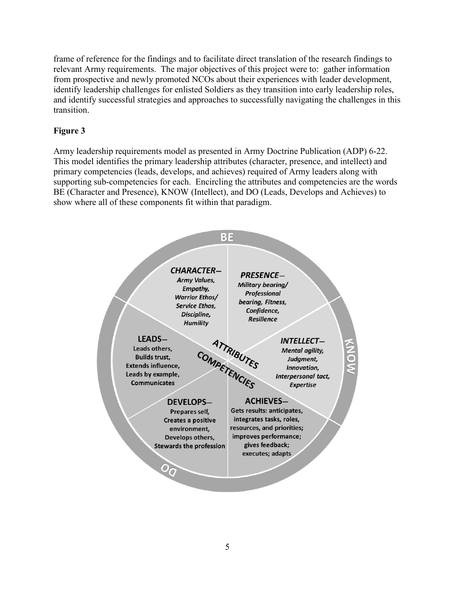frame of reference for the findings and to facilitate direct translation of the research findings to relevant Army requirements. The major objectives of this project were to: gather information from prospective and newly promoted NCOs about their experiences with leader development, identify leadership challenges for enlisted Soldiers as they transition into early leadership roles, and identify successful strategies and approaches to successfully navigating the challenges in this transition.

## **Figure 3**

Army leadership requirements model as presented in Army Doctrine Publication (ADP) 6-22. This model identifies the primary leadership attributes (character, presence, and intellect) and primary competencies (leads, develops, and achieves) required of Army leaders along with supporting sub-competencies for each. Encircling the attributes and competencies are the words BE (Character and Presence), KNOW (Intellect), and DO (Leads, Develops and Achieves) to show where all of these components fit within that paradigm.

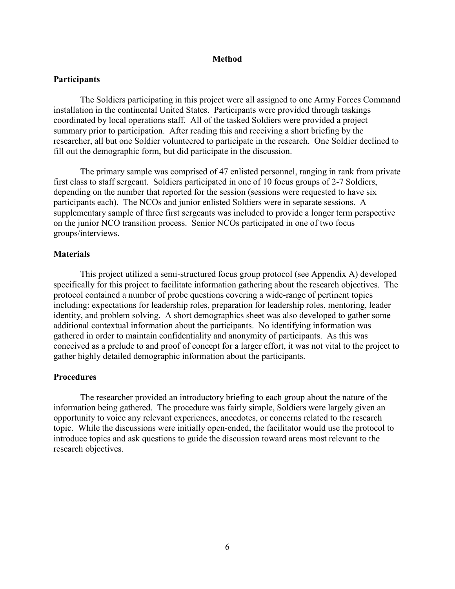#### **Method**

#### **Participants**

The Soldiers participating in this project were all assigned to one Army Forces Command installation in the continental United States. Participants were provided through taskings coordinated by local operations staff. All of the tasked Soldiers were provided a project summary prior to participation. After reading this and receiving a short briefing by the researcher, all but one Soldier volunteered to participate in the research. One Soldier declined to fill out the demographic form, but did participate in the discussion.

The primary sample was comprised of 47 enlisted personnel, ranging in rank from private first class to staff sergeant. Soldiers participated in one of 10 focus groups of 2-7 Soldiers, depending on the number that reported for the session (sessions were requested to have six participants each). The NCOs and junior enlisted Soldiers were in separate sessions. A supplementary sample of three first sergeants was included to provide a longer term perspective on the junior NCO transition process. Senior NCOs participated in one of two focus groups/interviews.

#### **Materials**

This project utilized a semi-structured focus group protocol (see Appendix A) developed specifically for this project to facilitate information gathering about the research objectives. The protocol contained a number of probe questions covering a wide-range of pertinent topics including: expectations for leadership roles, preparation for leadership roles, mentoring, leader identity, and problem solving. A short demographics sheet was also developed to gather some additional contextual information about the participants. No identifying information was gathered in order to maintain confidentiality and anonymity of participants. As this was conceived as a prelude to and proof of concept for a larger effort, it was not vital to the project to gather highly detailed demographic information about the participants.

#### **Procedures**

The researcher provided an introductory briefing to each group about the nature of the information being gathered. The procedure was fairly simple, Soldiers were largely given an opportunity to voice any relevant experiences, anecdotes, or concerns related to the research topic. While the discussions were initially open-ended, the facilitator would use the protocol to introduce topics and ask questions to guide the discussion toward areas most relevant to the research objectives.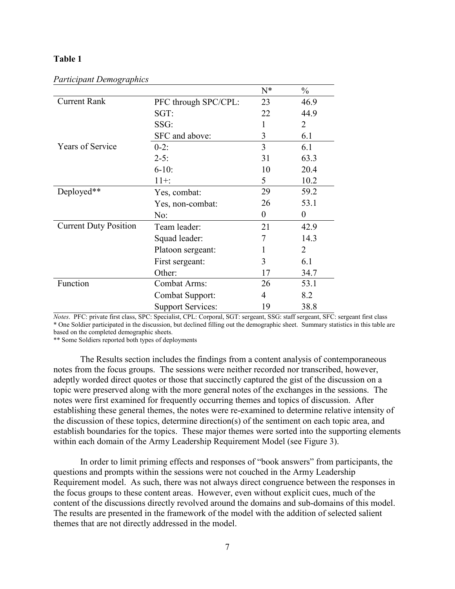#### **Table 1**

|                              |                          | $N^*$    | $\frac{0}{0}$ |
|------------------------------|--------------------------|----------|---------------|
| <b>Current Rank</b>          | PFC through SPC/CPL:     | 23       | 46.9          |
|                              | SGT:                     | 22       | 44.9          |
|                              | SSG:                     |          | 2             |
|                              | SFC and above:           | 3        | 6.1           |
| <b>Years of Service</b>      | $0-2:$                   | 3        | 6.1           |
|                              | $2 - 5:$                 | 31       | 63.3          |
|                              | $6 - 10$ :               | 10       | 20.4          |
|                              | $11 +$ :                 | 5        | 10.2          |
| Deployed**                   | Yes, combat:             | 29       | 59.2          |
|                              | Yes, non-combat:         | 26       | 53.1          |
|                              | No:                      | $\Omega$ | $\theta$      |
| <b>Current Duty Position</b> | Team leader:             | 21       | 42.9          |
|                              | Squad leader:            | 7        | 14.3          |
|                              | Platoon sergeant:        |          | 2             |
|                              | First sergeant:          | 3        | 6.1           |
|                              | Other:                   | 17       | 34.7          |
| Function                     | <b>Combat Arms:</b>      | 26       | 53.1          |
|                              | <b>Combat Support:</b>   | 4        | 8.2           |
|                              | <b>Support Services:</b> | 19       | 38.8          |

*Participant Demographics*

*Notes*. PFC: private first class, SPC: Specialist, CPL: Corporal, SGT: sergeant, SSG: staff sergeant, SFC: sergeant first class \* One Soldier participated in the discussion, but declined filling out the demographic sheet. Summary statistics in this table are based on the completed demographic sheets.

\*\* Some Soldiers reported both types of deployments

The Results section includes the findings from a content analysis of contemporaneous notes from the focus groups. The sessions were neither recorded nor transcribed, however, adeptly worded direct quotes or those that succinctly captured the gist of the discussion on a topic were preserved along with the more general notes of the exchanges in the sessions. The notes were first examined for frequently occurring themes and topics of discussion. After establishing these general themes, the notes were re-examined to determine relative intensity of the discussion of these topics, determine direction(s) of the sentiment on each topic area, and establish boundaries for the topics. These major themes were sorted into the supporting elements within each domain of the Army Leadership Requirement Model (see Figure 3).

In order to limit priming effects and responses of "book answers" from participants, the questions and prompts within the sessions were not couched in the Army Leadership Requirement model. As such, there was not always direct congruence between the responses in the focus groups to these content areas. However, even without explicit cues, much of the content of the discussions directly revolved around the domains and sub-domains of this model. The results are presented in the framework of the model with the addition of selected salient themes that are not directly addressed in the model.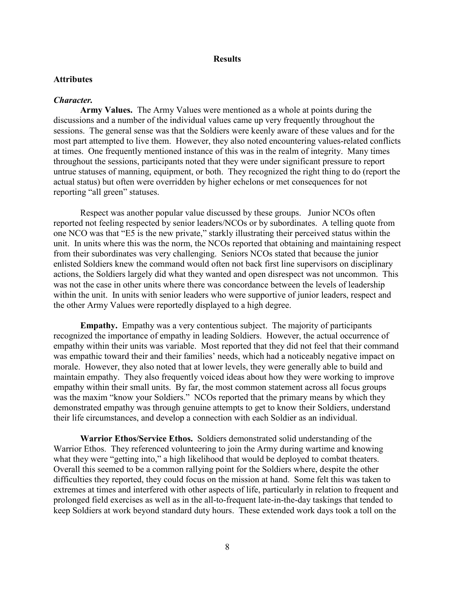#### **Results**

#### **Attributes**

#### *Character.*

**Army Values.** The Army Values were mentioned as a whole at points during the discussions and a number of the individual values came up very frequently throughout the sessions. The general sense was that the Soldiers were keenly aware of these values and for the most part attempted to live them. However, they also noted encountering values-related conflicts at times. One frequently mentioned instance of this was in the realm of integrity. Many times throughout the sessions, participants noted that they were under significant pressure to report untrue statuses of manning, equipment, or both. They recognized the right thing to do (report the actual status) but often were overridden by higher echelons or met consequences for not reporting "all green" statuses.

Respect was another popular value discussed by these groups. Junior NCOs often reported not feeling respected by senior leaders/NCOs or by subordinates. A telling quote from one NCO was that "E5 is the new private," starkly illustrating their perceived status within the unit. In units where this was the norm, the NCOs reported that obtaining and maintaining respect from their subordinates was very challenging. Seniors NCOs stated that because the junior enlisted Soldiers knew the command would often not back first line supervisors on disciplinary actions, the Soldiers largely did what they wanted and open disrespect was not uncommon. This was not the case in other units where there was concordance between the levels of leadership within the unit. In units with senior leaders who were supportive of junior leaders, respect and the other Army Values were reportedly displayed to a high degree.

**Empathy.** Empathy was a very contentious subject. The majority of participants recognized the importance of empathy in leading Soldiers. However, the actual occurrence of empathy within their units was variable. Most reported that they did not feel that their command was empathic toward their and their families' needs, which had a noticeably negative impact on morale. However, they also noted that at lower levels, they were generally able to build and maintain empathy. They also frequently voiced ideas about how they were working to improve empathy within their small units. By far, the most common statement across all focus groups was the maxim "know your Soldiers." NCOs reported that the primary means by which they demonstrated empathy was through genuine attempts to get to know their Soldiers, understand their life circumstances, and develop a connection with each Soldier as an individual.

**Warrior Ethos/Service Ethos.** Soldiers demonstrated solid understanding of the Warrior Ethos. They referenced volunteering to join the Army during wartime and knowing what they were "getting into," a high likelihood that would be deployed to combat theaters. Overall this seemed to be a common rallying point for the Soldiers where, despite the other difficulties they reported, they could focus on the mission at hand. Some felt this was taken to extremes at times and interfered with other aspects of life, particularly in relation to frequent and prolonged field exercises as well as in the all-to-frequent late-in-the-day taskings that tended to keep Soldiers at work beyond standard duty hours. These extended work days took a toll on the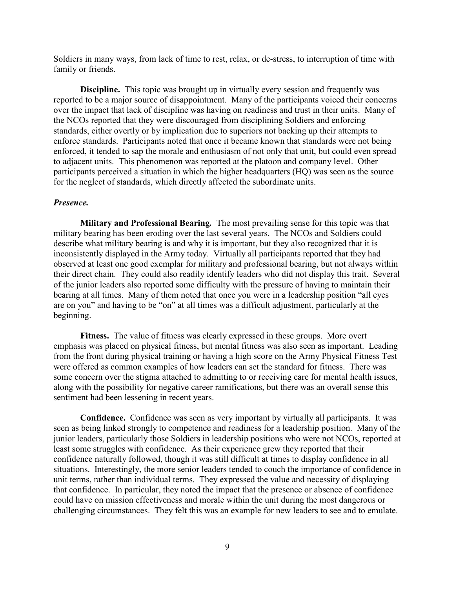Soldiers in many ways, from lack of time to rest, relax, or de-stress, to interruption of time with family or friends.

**Discipline.** This topic was brought up in virtually every session and frequently was reported to be a major source of disappointment. Many of the participants voiced their concerns over the impact that lack of discipline was having on readiness and trust in their units. Many of the NCOs reported that they were discouraged from disciplining Soldiers and enforcing standards, either overtly or by implication due to superiors not backing up their attempts to enforce standards. Participants noted that once it became known that standards were not being enforced, it tended to sap the morale and enthusiasm of not only that unit, but could even spread to adjacent units. This phenomenon was reported at the platoon and company level. Other participants perceived a situation in which the higher headquarters (HQ) was seen as the source for the neglect of standards, which directly affected the subordinate units.

#### *Presence.*

**Military and Professional Bearing***.* The most prevailing sense for this topic was that military bearing has been eroding over the last several years. The NCOs and Soldiers could describe what military bearing is and why it is important, but they also recognized that it is inconsistently displayed in the Army today. Virtually all participants reported that they had observed at least one good exemplar for military and professional bearing, but not always within their direct chain. They could also readily identify leaders who did not display this trait. Several of the junior leaders also reported some difficulty with the pressure of having to maintain their bearing at all times. Many of them noted that once you were in a leadership position "all eyes are on you" and having to be "on" at all times was a difficult adjustment, particularly at the beginning.

**Fitness.** The value of fitness was clearly expressed in these groups.More overt emphasis was placed on physical fitness, but mental fitness was also seen as important. Leading from the front during physical training or having a high score on the Army Physical Fitness Test were offered as common examples of how leaders can set the standard for fitness. There was some concern over the stigma attached to admitting to or receiving care for mental health issues, along with the possibility for negative career ramifications, but there was an overall sense this sentiment had been lessening in recent years.

**Confidence.** Confidence was seen as very important by virtually all participants. It was seen as being linked strongly to competence and readiness for a leadership position. Many of the junior leaders, particularly those Soldiers in leadership positions who were not NCOs, reported at least some struggles with confidence. As their experience grew they reported that their confidence naturally followed, though it was still difficult at times to display confidence in all situations. Interestingly, the more senior leaders tended to couch the importance of confidence in unit terms, rather than individual terms. They expressed the value and necessity of displaying that confidence. In particular, they noted the impact that the presence or absence of confidence could have on mission effectiveness and morale within the unit during the most dangerous or challenging circumstances. They felt this was an example for new leaders to see and to emulate.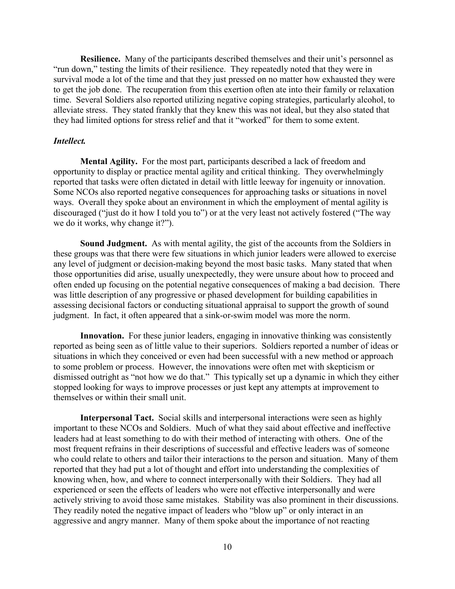**Resilience.** Many of the participants described themselves and their unit's personnel as "run down," testing the limits of their resilience. They repeatedly noted that they were in survival mode a lot of the time and that they just pressed on no matter how exhausted they were to get the job done. The recuperation from this exertion often ate into their family or relaxation time. Several Soldiers also reported utilizing negative coping strategies, particularly alcohol, to alleviate stress. They stated frankly that they knew this was not ideal, but they also stated that they had limited options for stress relief and that it "worked" for them to some extent.

#### *Intellect.*

**Mental Agility.** For the most part, participants described a lack of freedom and opportunity to display or practice mental agility and critical thinking. They overwhelmingly reported that tasks were often dictated in detail with little leeway for ingenuity or innovation. Some NCOs also reported negative consequences for approaching tasks or situations in novel ways. Overall they spoke about an environment in which the employment of mental agility is discouraged ("just do it how I told you to") or at the very least not actively fostered ("The way we do it works, why change it?").

**Sound Judgment.** As with mental agility, the gist of the accounts from the Soldiers in these groups was that there were few situations in which junior leaders were allowed to exercise any level of judgment or decision-making beyond the most basic tasks. Many stated that when those opportunities did arise, usually unexpectedly, they were unsure about how to proceed and often ended up focusing on the potential negative consequences of making a bad decision. There was little description of any progressive or phased development for building capabilities in assessing decisional factors or conducting situational appraisal to support the growth of sound judgment. In fact, it often appeared that a sink-or-swim model was more the norm.

Innovation. For these junior leaders, engaging in innovative thinking was consistently reported as being seen as of little value to their superiors. Soldiers reported a number of ideas or situations in which they conceived or even had been successful with a new method or approach to some problem or process. However, the innovations were often met with skepticism or dismissed outright as "not how we do that." This typically set up a dynamic in which they either stopped looking for ways to improve processes or just kept any attempts at improvement to themselves or within their small unit.

**Interpersonal Tact.** Social skills and interpersonal interactions were seen as highly important to these NCOs and Soldiers. Much of what they said about effective and ineffective leaders had at least something to do with their method of interacting with others. One of the most frequent refrains in their descriptions of successful and effective leaders was of someone who could relate to others and tailor their interactions to the person and situation. Many of them reported that they had put a lot of thought and effort into understanding the complexities of knowing when, how, and where to connect interpersonally with their Soldiers. They had all experienced or seen the effects of leaders who were not effective interpersonally and were actively striving to avoid those same mistakes. Stability was also prominent in their discussions. They readily noted the negative impact of leaders who "blow up" or only interact in an aggressive and angry manner. Many of them spoke about the importance of not reacting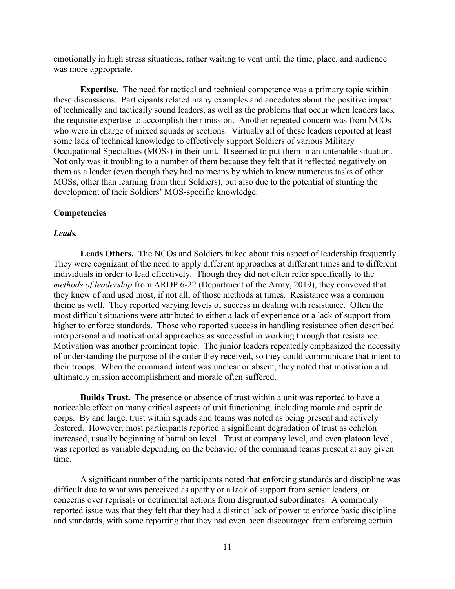emotionally in high stress situations, rather waiting to vent until the time, place, and audience was more appropriate.

**Expertise.** The need for tactical and technical competence was a primary topic within these discussions. Participants related many examples and anecdotes about the positive impact of technically and tactically sound leaders, as well as the problems that occur when leaders lack the requisite expertise to accomplish their mission. Another repeated concern was from NCOs who were in charge of mixed squads or sections. Virtually all of these leaders reported at least some lack of technical knowledge to effectively support Soldiers of various Military Occupational Specialties (MOSs) in their unit. It seemed to put them in an untenable situation. Not only was it troubling to a number of them because they felt that it reflected negatively on them as a leader (even though they had no means by which to know numerous tasks of other MOSs, other than learning from their Soldiers), but also due to the potential of stunting the development of their Soldiers' MOS-specific knowledge.

#### **Competencies**

#### *Leads.*

**Leads Others.** The NCOs and Soldiers talked about this aspect of leadership frequently. They were cognizant of the need to apply different approaches at different times and to different individuals in order to lead effectively. Though they did not often refer specifically to the *methods of leadership* from ARDP 6-22 (Department of the Army, 2019), they conveyed that they knew of and used most, if not all, of those methods at times. Resistance was a common theme as well. They reported varying levels of success in dealing with resistance. Often the most difficult situations were attributed to either a lack of experience or a lack of support from higher to enforce standards. Those who reported success in handling resistance often described interpersonal and motivational approaches as successful in working through that resistance. Motivation was another prominent topic. The junior leaders repeatedly emphasized the necessity of understanding the purpose of the order they received, so they could communicate that intent to their troops. When the command intent was unclear or absent, they noted that motivation and ultimately mission accomplishment and morale often suffered.

**Builds Trust.** The presence or absence of trust within a unit was reported to have a noticeable effect on many critical aspects of unit functioning, including morale and esprit de corps. By and large, trust within squads and teams was noted as being present and actively fostered. However, most participants reported a significant degradation of trust as echelon increased, usually beginning at battalion level. Trust at company level, and even platoon level, was reported as variable depending on the behavior of the command teams present at any given time.

A significant number of the participants noted that enforcing standards and discipline was difficult due to what was perceived as apathy or a lack of support from senior leaders, or concerns over reprisals or detrimental actions from disgruntled subordinates. A commonly reported issue was that they felt that they had a distinct lack of power to enforce basic discipline and standards, with some reporting that they had even been discouraged from enforcing certain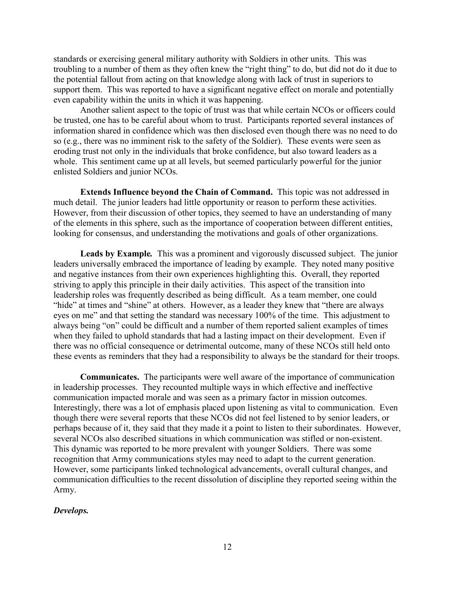standards or exercising general military authority with Soldiers in other units. This was troubling to a number of them as they often knew the "right thing" to do, but did not do it due to the potential fallout from acting on that knowledge along with lack of trust in superiors to support them. This was reported to have a significant negative effect on morale and potentially even capability within the units in which it was happening.

Another salient aspect to the topic of trust was that while certain NCOs or officers could be trusted, one has to be careful about whom to trust. Participants reported several instances of information shared in confidence which was then disclosed even though there was no need to do so (e.g., there was no imminent risk to the safety of the Soldier). These events were seen as eroding trust not only in the individuals that broke confidence, but also toward leaders as a whole. This sentiment came up at all levels, but seemed particularly powerful for the junior enlisted Soldiers and junior NCOs.

**Extends Influence beyond the Chain of Command.** This topic was not addressed in much detail. The junior leaders had little opportunity or reason to perform these activities. However, from their discussion of other topics, they seemed to have an understanding of many of the elements in this sphere, such as the importance of cooperation between different entities, looking for consensus, and understanding the motivations and goals of other organizations.

**Leads by Example***.* This was a prominent and vigorously discussed subject. The junior leaders universally embraced the importance of leading by example. They noted many positive and negative instances from their own experiences highlighting this. Overall, they reported striving to apply this principle in their daily activities. This aspect of the transition into leadership roles was frequently described as being difficult. As a team member, one could "hide" at times and "shine" at others. However, as a leader they knew that "there are always eyes on me" and that setting the standard was necessary 100% of the time. This adjustment to always being "on" could be difficult and a number of them reported salient examples of times when they failed to uphold standards that had a lasting impact on their development. Even if there was no official consequence or detrimental outcome, many of these NCOs still held onto these events as reminders that they had a responsibility to always be the standard for their troops.

**Communicates.** The participants were well aware of the importance of communication in leadership processes. They recounted multiple ways in which effective and ineffective communication impacted morale and was seen as a primary factor in mission outcomes. Interestingly, there was a lot of emphasis placed upon listening as vital to communication. Even though there were several reports that these NCOs did not feel listened to by senior leaders, or perhaps because of it, they said that they made it a point to listen to their subordinates. However, several NCOs also described situations in which communication was stifled or non-existent. This dynamic was reported to be more prevalent with younger Soldiers. There was some recognition that Army communications styles may need to adapt to the current generation. However, some participants linked technological advancements, overall cultural changes, and communication difficulties to the recent dissolution of discipline they reported seeing within the Army.

#### *Develops.*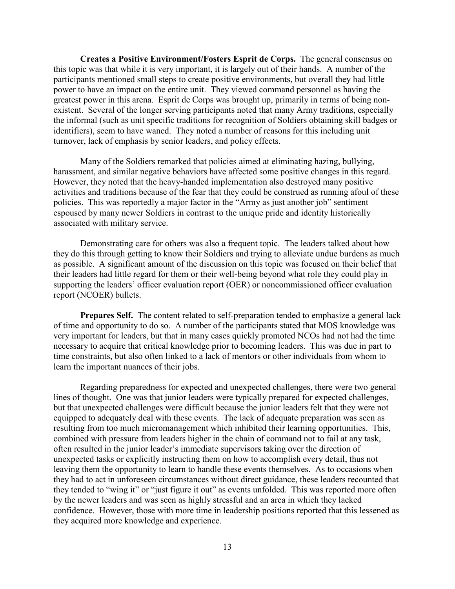**Creates a Positive Environment/Fosters Esprit de Corps.** The general consensus on this topic was that while it is very important, it is largely out of their hands. A number of the participants mentioned small steps to create positive environments, but overall they had little power to have an impact on the entire unit. They viewed command personnel as having the greatest power in this arena. Esprit de Corps was brought up, primarily in terms of being nonexistent. Several of the longer serving participants noted that many Army traditions, especially the informal (such as unit specific traditions for recognition of Soldiers obtaining skill badges or identifiers), seem to have waned. They noted a number of reasons for this including unit turnover, lack of emphasis by senior leaders, and policy effects.

Many of the Soldiers remarked that policies aimed at eliminating hazing, bullying, harassment, and similar negative behaviors have affected some positive changes in this regard. However, they noted that the heavy-handed implementation also destroyed many positive activities and traditions because of the fear that they could be construed as running afoul of these policies. This was reportedly a major factor in the "Army as just another job" sentiment espoused by many newer Soldiers in contrast to the unique pride and identity historically associated with military service.

Demonstrating care for others was also a frequent topic. The leaders talked about how they do this through getting to know their Soldiers and trying to alleviate undue burdens as much as possible. A significant amount of the discussion on this topic was focused on their belief that their leaders had little regard for them or their well-being beyond what role they could play in supporting the leaders' officer evaluation report (OER) or noncommissioned officer evaluation report (NCOER) bullets.

**Prepares Self.** The content related to self-preparation tended to emphasize a general lack of time and opportunity to do so. A number of the participants stated that MOS knowledge was very important for leaders, but that in many cases quickly promoted NCOs had not had the time necessary to acquire that critical knowledge prior to becoming leaders. This was due in part to time constraints, but also often linked to a lack of mentors or other individuals from whom to learn the important nuances of their jobs.

Regarding preparedness for expected and unexpected challenges, there were two general lines of thought. One was that junior leaders were typically prepared for expected challenges, but that unexpected challenges were difficult because the junior leaders felt that they were not equipped to adequately deal with these events. The lack of adequate preparation was seen as resulting from too much micromanagement which inhibited their learning opportunities. This, combined with pressure from leaders higher in the chain of command not to fail at any task, often resulted in the junior leader's immediate supervisors taking over the direction of unexpected tasks or explicitly instructing them on how to accomplish every detail, thus not leaving them the opportunity to learn to handle these events themselves. As to occasions when they had to act in unforeseen circumstances without direct guidance, these leaders recounted that they tended to "wing it" or "just figure it out" as events unfolded. This was reported more often by the newer leaders and was seen as highly stressful and an area in which they lacked confidence. However, those with more time in leadership positions reported that this lessened as they acquired more knowledge and experience.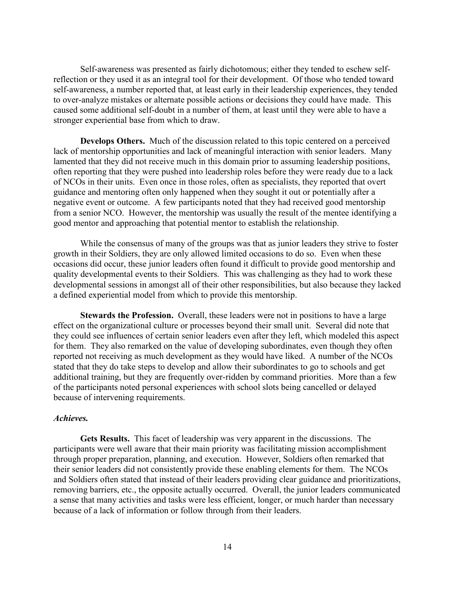Self-awareness was presented as fairly dichotomous; either they tended to eschew selfreflection or they used it as an integral tool for their development. Of those who tended toward self-awareness, a number reported that, at least early in their leadership experiences, they tended to over-analyze mistakes or alternate possible actions or decisions they could have made. This caused some additional self-doubt in a number of them, at least until they were able to have a stronger experiential base from which to draw.

**Develops Others.** Much of the discussion related to this topic centered on a perceived lack of mentorship opportunities and lack of meaningful interaction with senior leaders. Many lamented that they did not receive much in this domain prior to assuming leadership positions, often reporting that they were pushed into leadership roles before they were ready due to a lack of NCOs in their units. Even once in those roles, often as specialists, they reported that overt guidance and mentoring often only happened when they sought it out or potentially after a negative event or outcome. A few participants noted that they had received good mentorship from a senior NCO. However, the mentorship was usually the result of the mentee identifying a good mentor and approaching that potential mentor to establish the relationship.

While the consensus of many of the groups was that as junior leaders they strive to foster growth in their Soldiers, they are only allowed limited occasions to do so. Even when these occasions did occur, these junior leaders often found it difficult to provide good mentorship and quality developmental events to their Soldiers. This was challenging as they had to work these developmental sessions in amongst all of their other responsibilities, but also because they lacked a defined experiential model from which to provide this mentorship.

**Stewards the Profession.** Overall, these leaders were not in positions to have a large effect on the organizational culture or processes beyond their small unit. Several did note that they could see influences of certain senior leaders even after they left, which modeled this aspect for them. They also remarked on the value of developing subordinates, even though they often reported not receiving as much development as they would have liked. A number of the NCOs stated that they do take steps to develop and allow their subordinates to go to schools and get additional training, but they are frequently over-ridden by command priorities. More than a few of the participants noted personal experiences with school slots being cancelled or delayed because of intervening requirements.

#### *Achieves.*

**Gets Results.** This facet of leadership was very apparent in the discussions. The participants were well aware that their main priority was facilitating mission accomplishment through proper preparation, planning, and execution. However, Soldiers often remarked that their senior leaders did not consistently provide these enabling elements for them. The NCOs and Soldiers often stated that instead of their leaders providing clear guidance and prioritizations, removing barriers, etc., the opposite actually occurred. Overall, the junior leaders communicated a sense that many activities and tasks were less efficient, longer, or much harder than necessary because of a lack of information or follow through from their leaders.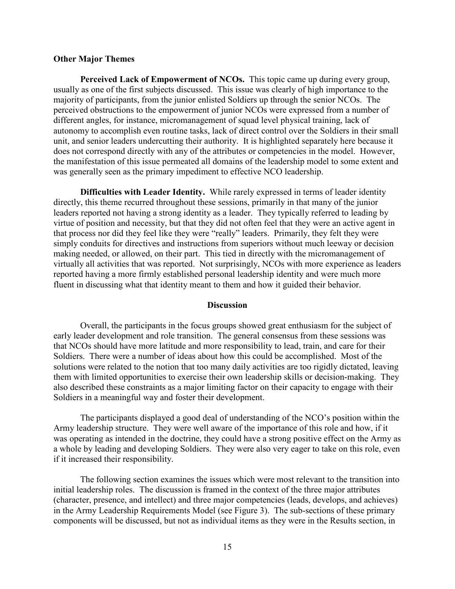#### **Other Major Themes**

**Perceived Lack of Empowerment of NCOs.** This topic came up during every group, usually as one of the first subjects discussed. This issue was clearly of high importance to the majority of participants, from the junior enlisted Soldiers up through the senior NCOs. The perceived obstructions to the empowerment of junior NCOs were expressed from a number of different angles, for instance, micromanagement of squad level physical training, lack of autonomy to accomplish even routine tasks, lack of direct control over the Soldiers in their small unit, and senior leaders undercutting their authority. It is highlighted separately here because it does not correspond directly with any of the attributes or competencies in the model. However, the manifestation of this issue permeated all domains of the leadership model to some extent and was generally seen as the primary impediment to effective NCO leadership.

**Difficulties with Leader Identity.** While rarely expressed in terms of leader identity directly, this theme recurred throughout these sessions, primarily in that many of the junior leaders reported not having a strong identity as a leader. They typically referred to leading by virtue of position and necessity, but that they did not often feel that they were an active agent in that process nor did they feel like they were "really" leaders. Primarily, they felt they were simply conduits for directives and instructions from superiors without much leeway or decision making needed, or allowed, on their part. This tied in directly with the micromanagement of virtually all activities that was reported. Not surprisingly, NCOs with more experience as leaders reported having a more firmly established personal leadership identity and were much more fluent in discussing what that identity meant to them and how it guided their behavior.

#### **Discussion**

Overall, the participants in the focus groups showed great enthusiasm for the subject of early leader development and role transition. The general consensus from these sessions was that NCOs should have more latitude and more responsibility to lead, train, and care for their Soldiers. There were a number of ideas about how this could be accomplished. Most of the solutions were related to the notion that too many daily activities are too rigidly dictated, leaving them with limited opportunities to exercise their own leadership skills or decision-making. They also described these constraints as a major limiting factor on their capacity to engage with their Soldiers in a meaningful way and foster their development.

The participants displayed a good deal of understanding of the NCO's position within the Army leadership structure. They were well aware of the importance of this role and how, if it was operating as intended in the doctrine, they could have a strong positive effect on the Army as a whole by leading and developing Soldiers. They were also very eager to take on this role, even if it increased their responsibility.

The following section examines the issues which were most relevant to the transition into initial leadership roles. The discussion is framed in the context of the three major attributes (character, presence, and intellect) and three major competencies (leads, develops, and achieves) in the Army Leadership Requirements Model (see Figure 3). The sub-sections of these primary components will be discussed, but not as individual items as they were in the Results section, in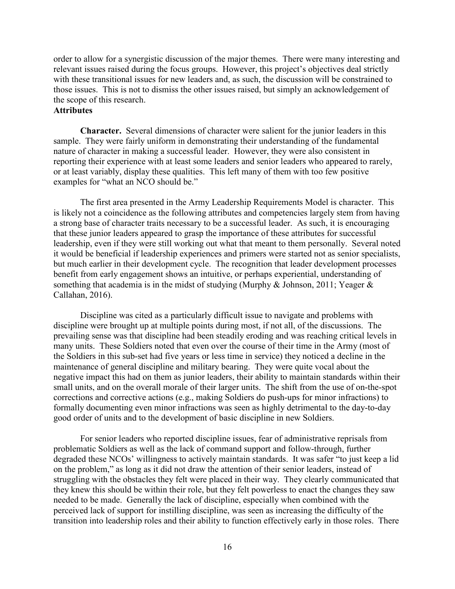order to allow for a synergistic discussion of the major themes. There were many interesting and relevant issues raised during the focus groups. However, this project's objectives deal strictly with these transitional issues for new leaders and, as such, the discussion will be constrained to those issues. This is not to dismiss the other issues raised, but simply an acknowledgement of the scope of this research.

#### **Attributes**

**Character.** Several dimensions of character were salient for the junior leaders in this sample. They were fairly uniform in demonstrating their understanding of the fundamental nature of character in making a successful leader. However, they were also consistent in reporting their experience with at least some leaders and senior leaders who appeared to rarely, or at least variably, display these qualities. This left many of them with too few positive examples for "what an NCO should be."

The first area presented in the Army Leadership Requirements Model is character. This is likely not a coincidence as the following attributes and competencies largely stem from having a strong base of character traits necessary to be a successful leader. As such, it is encouraging that these junior leaders appeared to grasp the importance of these attributes for successful leadership, even if they were still working out what that meant to them personally. Several noted it would be beneficial if leadership experiences and primers were started not as senior specialists, but much earlier in their development cycle. The recognition that leader development processes benefit from early engagement shows an intuitive, or perhaps experiential, understanding of something that academia is in the midst of studying (Murphy & Johnson, 2011; Yeager & Callahan, 2016).

Discipline was cited as a particularly difficult issue to navigate and problems with discipline were brought up at multiple points during most, if not all, of the discussions. The prevailing sense was that discipline had been steadily eroding and was reaching critical levels in many units. These Soldiers noted that even over the course of their time in the Army (most of the Soldiers in this sub-set had five years or less time in service) they noticed a decline in the maintenance of general discipline and military bearing. They were quite vocal about the negative impact this had on them as junior leaders, their ability to maintain standards within their small units, and on the overall morale of their larger units. The shift from the use of on-the-spot corrections and corrective actions (e.g., making Soldiers do push-ups for minor infractions) to formally documenting even minor infractions was seen as highly detrimental to the day-to-day good order of units and to the development of basic discipline in new Soldiers.

For senior leaders who reported discipline issues, fear of administrative reprisals from problematic Soldiers as well as the lack of command support and follow-through, further degraded these NCOs' willingness to actively maintain standards. It was safer "to just keep a lid on the problem," as long as it did not draw the attention of their senior leaders, instead of struggling with the obstacles they felt were placed in their way. They clearly communicated that they knew this should be within their role, but they felt powerless to enact the changes they saw needed to be made. Generally the lack of discipline, especially when combined with the perceived lack of support for instilling discipline, was seen as increasing the difficulty of the transition into leadership roles and their ability to function effectively early in those roles. There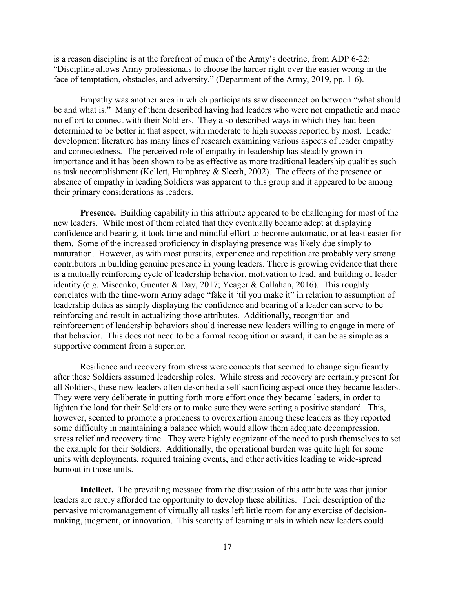is a reason discipline is at the forefront of much of the Army's doctrine, from ADP 6-22: "Discipline allows Army professionals to choose the harder right over the easier wrong in the face of temptation, obstacles, and adversity." (Department of the Army, 2019, pp. 1-6).

Empathy was another area in which participants saw disconnection between "what should be and what is." Many of them described having had leaders who were not empathetic and made no effort to connect with their Soldiers. They also described ways in which they had been determined to be better in that aspect, with moderate to high success reported by most. Leader development literature has many lines of research examining various aspects of leader empathy and connectedness. The perceived role of empathy in leadership has steadily grown in importance and it has been shown to be as effective as more traditional leadership qualities such as task accomplishment (Kellett, Humphrey & Sleeth, 2002). The effects of the presence or absence of empathy in leading Soldiers was apparent to this group and it appeared to be among their primary considerations as leaders.

**Presence.** Building capability in this attribute appeared to be challenging for most of the new leaders. While most of them related that they eventually became adept at displaying confidence and bearing, it took time and mindful effort to become automatic, or at least easier for them. Some of the increased proficiency in displaying presence was likely due simply to maturation. However, as with most pursuits, experience and repetition are probably very strong contributors in building genuine presence in young leaders. There is growing evidence that there is a mutually reinforcing cycle of leadership behavior, motivation to lead, and building of leader identity (e.g. Miscenko, Guenter & Day, 2017; Yeager & Callahan, 2016). This roughly correlates with the time-worn Army adage "fake it 'til you make it" in relation to assumption of leadership duties as simply displaying the confidence and bearing of a leader can serve to be reinforcing and result in actualizing those attributes. Additionally, recognition and reinforcement of leadership behaviors should increase new leaders willing to engage in more of that behavior. This does not need to be a formal recognition or award, it can be as simple as a supportive comment from a superior.

Resilience and recovery from stress were concepts that seemed to change significantly after these Soldiers assumed leadership roles. While stress and recovery are certainly present for all Soldiers, these new leaders often described a self-sacrificing aspect once they became leaders. They were very deliberate in putting forth more effort once they became leaders, in order to lighten the load for their Soldiers or to make sure they were setting a positive standard. This, however, seemed to promote a proneness to overexertion among these leaders as they reported some difficulty in maintaining a balance which would allow them adequate decompression, stress relief and recovery time. They were highly cognizant of the need to push themselves to set the example for their Soldiers. Additionally, the operational burden was quite high for some units with deployments, required training events, and other activities leading to wide-spread burnout in those units.

**Intellect.** The prevailing message from the discussion of this attribute was that junior leaders are rarely afforded the opportunity to develop these abilities. Their description of the pervasive micromanagement of virtually all tasks left little room for any exercise of decisionmaking, judgment, or innovation. This scarcity of learning trials in which new leaders could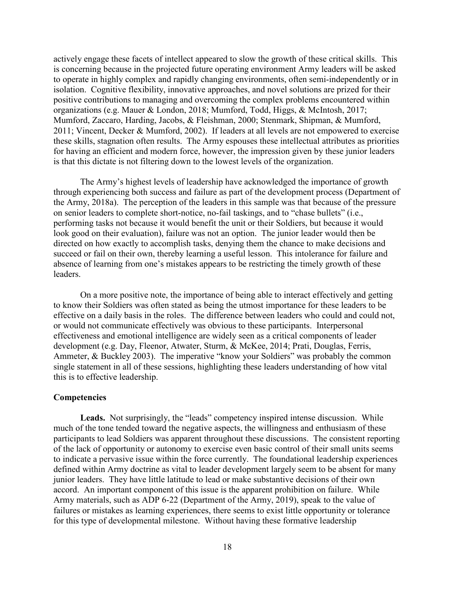actively engage these facets of intellect appeared to slow the growth of these critical skills. This is concerning because in the projected future operating environment Army leaders will be asked to operate in highly complex and rapidly changing environments, often semi-independently or in isolation. Cognitive flexibility, innovative approaches, and novel solutions are prized for their positive contributions to managing and overcoming the complex problems encountered within organizations (e.g. Mauer & London, 2018; Mumford, Todd, Higgs, & McIntosh, 2017; Mumford, Zaccaro, Harding, Jacobs, & Fleishman, 2000; Stenmark, Shipman, & Mumford, 2011; Vincent, Decker & Mumford, 2002). If leaders at all levels are not empowered to exercise these skills, stagnation often results. The Army espouses these intellectual attributes as priorities for having an efficient and modern force, however, the impression given by these junior leaders is that this dictate is not filtering down to the lowest levels of the organization.

The Army's highest levels of leadership have acknowledged the importance of growth through experiencing both success and failure as part of the development process (Department of the Army, 2018a). The perception of the leaders in this sample was that because of the pressure on senior leaders to complete short-notice, no-fail taskings, and to "chase bullets" (i.e., performing tasks not because it would benefit the unit or their Soldiers, but because it would look good on their evaluation), failure was not an option. The junior leader would then be directed on how exactly to accomplish tasks, denying them the chance to make decisions and succeed or fail on their own, thereby learning a useful lesson. This intolerance for failure and absence of learning from one's mistakes appears to be restricting the timely growth of these leaders.

On a more positive note, the importance of being able to interact effectively and getting to know their Soldiers was often stated as being the utmost importance for these leaders to be effective on a daily basis in the roles. The difference between leaders who could and could not, or would not communicate effectively was obvious to these participants. Interpersonal effectiveness and emotional intelligence are widely seen as a critical components of leader development (e.g. Day, Fleenor, Atwater, Sturm, & McKee, 2014; Prati, Douglas, Ferris, Ammeter, & Buckley 2003). The imperative "know your Soldiers" was probably the common single statement in all of these sessions, highlighting these leaders understanding of how vital this is to effective leadership.

#### **Competencies**

**Leads.** Not surprisingly, the "leads" competency inspired intense discussion. While much of the tone tended toward the negative aspects, the willingness and enthusiasm of these participants to lead Soldiers was apparent throughout these discussions. The consistent reporting of the lack of opportunity or autonomy to exercise even basic control of their small units seems to indicate a pervasive issue within the force currently. The foundational leadership experiences defined within Army doctrine as vital to leader development largely seem to be absent for many junior leaders. They have little latitude to lead or make substantive decisions of their own accord. An important component of this issue is the apparent prohibition on failure. While Army materials, such as ADP 6-22 (Department of the Army, 2019), speak to the value of failures or mistakes as learning experiences, there seems to exist little opportunity or tolerance for this type of developmental milestone. Without having these formative leadership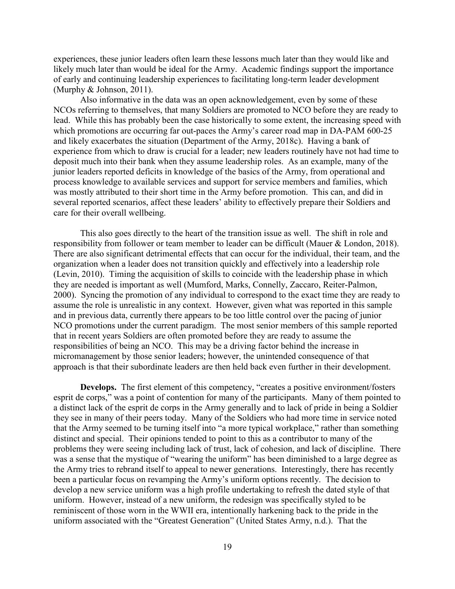experiences, these junior leaders often learn these lessons much later than they would like and likely much later than would be ideal for the Army. Academic findings support the importance of early and continuing leadership experiences to facilitating long-term leader development (Murphy & Johnson, 2011).

Also informative in the data was an open acknowledgement, even by some of these NCOs referring to themselves, that many Soldiers are promoted to NCO before they are ready to lead. While this has probably been the case historically to some extent, the increasing speed with which promotions are occurring far out-paces the Army's career road map in DA-PAM 600-25 and likely exacerbates the situation (Department of the Army, 2018c). Having a bank of experience from which to draw is crucial for a leader; new leaders routinely have not had time to deposit much into their bank when they assume leadership roles. As an example, many of the junior leaders reported deficits in knowledge of the basics of the Army, from operational and process knowledge to available services and support for service members and families, which was mostly attributed to their short time in the Army before promotion. This can, and did in several reported scenarios, affect these leaders' ability to effectively prepare their Soldiers and care for their overall wellbeing.

This also goes directly to the heart of the transition issue as well. The shift in role and responsibility from follower or team member to leader can be difficult (Mauer & London, 2018). There are also significant detrimental effects that can occur for the individual, their team, and the organization when a leader does not transition quickly and effectively into a leadership role (Levin, 2010). Timing the acquisition of skills to coincide with the leadership phase in which they are needed is important as well (Mumford, Marks, Connelly, Zaccaro, Reiter-Palmon, 2000). Syncing the promotion of any individual to correspond to the exact time they are ready to assume the role is unrealistic in any context. However, given what was reported in this sample and in previous data, currently there appears to be too little control over the pacing of junior NCO promotions under the current paradigm. The most senior members of this sample reported that in recent years Soldiers are often promoted before they are ready to assume the responsibilities of being an NCO. This may be a driving factor behind the increase in micromanagement by those senior leaders; however, the unintended consequence of that approach is that their subordinate leaders are then held back even further in their development.

**Develops.** The first element of this competency, "creates a positive environment/fosters esprit de corps," was a point of contention for many of the participants. Many of them pointed to a distinct lack of the esprit de corps in the Army generally and to lack of pride in being a Soldier they see in many of their peers today. Many of the Soldiers who had more time in service noted that the Army seemed to be turning itself into "a more typical workplace," rather than something distinct and special. Their opinions tended to point to this as a contributor to many of the problems they were seeing including lack of trust, lack of cohesion, and lack of discipline. There was a sense that the mystique of "wearing the uniform" has been diminished to a large degree as the Army tries to rebrand itself to appeal to newer generations. Interestingly, there has recently been a particular focus on revamping the Army's uniform options recently. The decision to develop a new service uniform was a high profile undertaking to refresh the dated style of that uniform. However, instead of a new uniform, the redesign was specifically styled to be reminiscent of those worn in the WWII era, intentionally harkening back to the pride in the uniform associated with the "Greatest Generation" (United States Army, n.d.). That the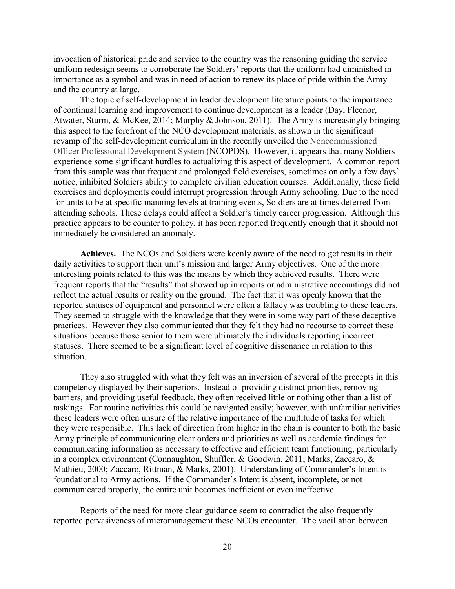invocation of historical pride and service to the country was the reasoning guiding the service uniform redesign seems to corroborate the Soldiers' reports that the uniform had diminished in importance as a symbol and was in need of action to renew its place of pride within the Army and the country at large.

The topic of self-development in leader development literature points to the importance of continual learning and improvement to continue development as a leader (Day, Fleenor, Atwater, Sturm, & McKee, 2014; Murphy & Johnson, 2011). The Army is increasingly bringing this aspect to the forefront of the NCO development materials, as shown in the significant revamp of the self-development curriculum in the recently unveiled the Noncommissioned Officer Professional Development System (NCOPDS). However, it appears that many Soldiers experience some significant hurdles to actualizing this aspect of development. A common report from this sample was that frequent and prolonged field exercises, sometimes on only a few days' notice, inhibited Soldiers ability to complete civilian education courses. Additionally, these field exercises and deployments could interrupt progression through Army schooling. Due to the need for units to be at specific manning levels at training events, Soldiers are at times deferred from attending schools. These delays could affect a Soldier's timely career progression. Although this practice appears to be counter to policy, it has been reported frequently enough that it should not immediately be considered an anomaly.

**Achieves.** The NCOs and Soldiers were keenly aware of the need to get results in their daily activities to support their unit's mission and larger Army objectives. One of the more interesting points related to this was the means by which they achieved results. There were frequent reports that the "results" that showed up in reports or administrative accountings did not reflect the actual results or reality on the ground. The fact that it was openly known that the reported statuses of equipment and personnel were often a fallacy was troubling to these leaders. They seemed to struggle with the knowledge that they were in some way part of these deceptive practices. However they also communicated that they felt they had no recourse to correct these situations because those senior to them were ultimately the individuals reporting incorrect statuses. There seemed to be a significant level of cognitive dissonance in relation to this situation.

They also struggled with what they felt was an inversion of several of the precepts in this competency displayed by their superiors. Instead of providing distinct priorities, removing barriers, and providing useful feedback, they often received little or nothing other than a list of taskings. For routine activities this could be navigated easily; however, with unfamiliar activities these leaders were often unsure of the relative importance of the multitude of tasks for which they were responsible. This lack of direction from higher in the chain is counter to both the basic Army principle of communicating clear orders and priorities as well as academic findings for communicating information as necessary to effective and efficient team functioning, particularly in a complex environment (Connaughton, Shuffler, & Goodwin, 2011; Marks, Zaccaro, & Mathieu, 2000; Zaccaro, Rittman, & Marks, 2001). Understanding of Commander's Intent is foundational to Army actions. If the Commander's Intent is absent, incomplete, or not communicated properly, the entire unit becomes inefficient or even ineffective.

Reports of the need for more clear guidance seem to contradict the also frequently reported pervasiveness of micromanagement these NCOs encounter. The vacillation between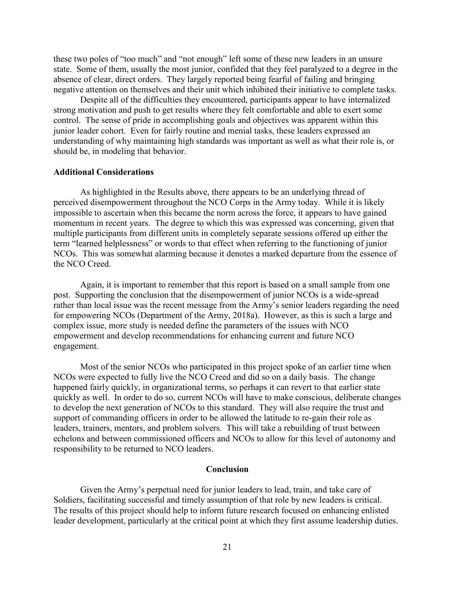these two poles of "too much" and "not enough" left some of these new leaders in an unsure state. Some of them, usually the most junior, confided that they feel paralyzed to a degree in the absence of clear, direct orders. They largely reported being fearful of failing and bringing negative attention on themselves and their unit which inhibited their initiative to complete tasks.

Despite all of the difficulties they encountered, participants appear to have internalized strong motivation and push to get results where they felt comfortable and able to exert some control. The sense of pride in accomplishing goals and objectives was apparent within this junior leader cohort. Even for fairly routine and menial tasks, these leaders expressed an understanding of why maintaining high standards was important as well as what their role is, or should be, in modeling that behavior.

#### **Additional Considerations**

As highlighted in the Results above, there appears to be an underlying thread of perceived disempowerment throughout the NCO Corps in the Army today. While it is likely impossible to ascertain when this became the norm across the force, it appears to have gained momentum in recent years. The degree to which this was expressed was concerning, given that multiple participants from different units in completely separate sessions offered up either the term "learned helplessness" or words to that effect when referring to the functioning of junior NCOs. This was somewhat alarming because it denotes a marked departure from the essence of the NCO Creed.

Again, it is important to remember that this report is based on a small sample from one post. Supporting the conclusion that the disempowerment of junior NCOs is a wide-spread rather than local issue was the recent message from the Army's senior leaders regarding the need for empowering NCOs (Department of the Army, 2018a). However, as this is such a large and complex issue, more study is needed define the parameters of the issues with NCO empowerment and develop recommendations for enhancing current and future NCO engagement.

Most of the senior NCOs who participated in this project spoke of an earlier time when NCOs were expected to fully live the NCO Creed and did so on a daily basis. The change happened fairly quickly, in organizational terms, so perhaps it can revert to that earlier state quickly as well. In order to do so, current NCOs will have to make conscious, deliberate changes to develop the next generation of NCOs to this standard. They will also require the trust and support of commanding officers in order to be allowed the latitude to re-gain their role as leaders, trainers, mentors, and problem solvers. This will take a rebuilding of trust between echelons and between commissioned officers and NCOs to allow for this level of autonomy and responsibility to be returned to NCO leaders.

#### **Conclusion**

Given the Army's perpetual need for junior leaders to lead, train, and take care of Soldiers, facilitating successful and timely assumption of that role by new leaders is critical. The results of this project should help to inform future research focused on enhancing enlisted leader development, particularly at the critical point at which they first assume leadership duties.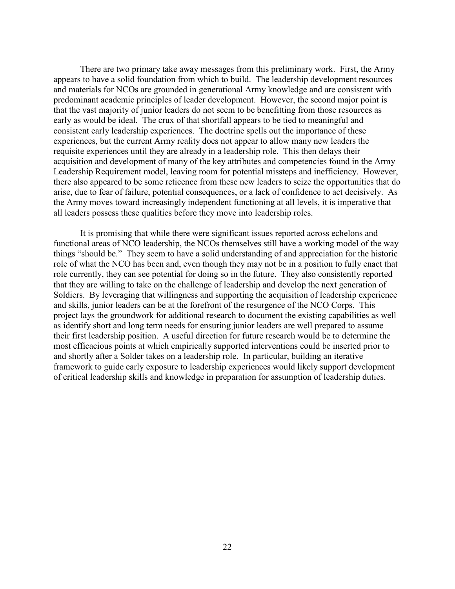There are two primary take away messages from this preliminary work. First, the Army appears to have a solid foundation from which to build. The leadership development resources and materials for NCOs are grounded in generational Army knowledge and are consistent with predominant academic principles of leader development. However, the second major point is that the vast majority of junior leaders do not seem to be benefitting from those resources as early as would be ideal. The crux of that shortfall appears to be tied to meaningful and consistent early leadership experiences. The doctrine spells out the importance of these experiences, but the current Army reality does not appear to allow many new leaders the requisite experiences until they are already in a leadership role. This then delays their acquisition and development of many of the key attributes and competencies found in the Army Leadership Requirement model, leaving room for potential missteps and inefficiency. However, there also appeared to be some reticence from these new leaders to seize the opportunities that do arise, due to fear of failure, potential consequences, or a lack of confidence to act decisively. As the Army moves toward increasingly independent functioning at all levels, it is imperative that all leaders possess these qualities before they move into leadership roles.

It is promising that while there were significant issues reported across echelons and functional areas of NCO leadership, the NCOs themselves still have a working model of the way things "should be." They seem to have a solid understanding of and appreciation for the historic role of what the NCO has been and, even though they may not be in a position to fully enact that role currently, they can see potential for doing so in the future. They also consistently reported that they are willing to take on the challenge of leadership and develop the next generation of Soldiers. By leveraging that willingness and supporting the acquisition of leadership experience and skills, junior leaders can be at the forefront of the resurgence of the NCO Corps. This project lays the groundwork for additional research to document the existing capabilities as well as identify short and long term needs for ensuring junior leaders are well prepared to assume their first leadership position. A useful direction for future research would be to determine the most efficacious points at which empirically supported interventions could be inserted prior to and shortly after a Solder takes on a leadership role. In particular, building an iterative framework to guide early exposure to leadership experiences would likely support development of critical leadership skills and knowledge in preparation for assumption of leadership duties.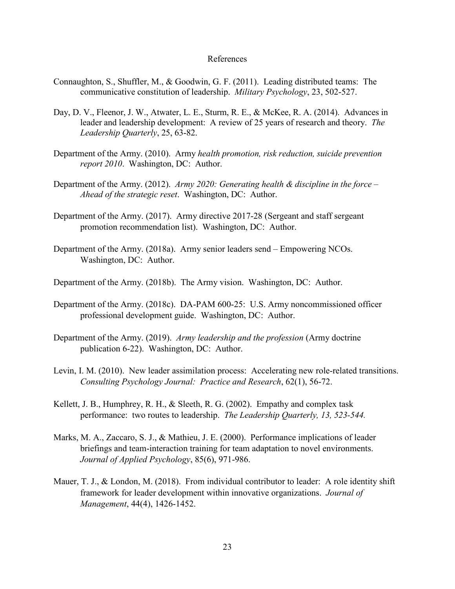#### References

- Connaughton, S., Shuffler, M., & Goodwin, G. F. (2011). Leading distributed teams: The communicative constitution of leadership. *Military Psychology*, 23, 502-527.
- Day, D. V., Fleenor, J. W., Atwater, L. E., Sturm, R. E., & McKee, R. A. (2014). Advances in leader and leadership development: A review of 25 years of research and theory. *The Leadership Quarterly*, 25, 63-82.
- Department of the Army. (2010). Army *health promotion, risk reduction, suicide prevention report 2010*. Washington, DC: Author.
- Department of the Army. (2012). *Army 2020: Generating health & discipline in the force – Ahead of the strategic reset*. Washington, DC: Author.
- Department of the Army. (2017). Army directive 2017-28 (Sergeant and staff sergeant promotion recommendation list). Washington, DC: Author.
- Department of the Army. (2018a). Army senior leaders send Empowering NCOs. Washington, DC: Author.
- Department of the Army. (2018b). The Army vision. Washington, DC: Author.
- Department of the Army. (2018c). DA-PAM 600-25: U.S. Army noncommissioned officer professional development guide. Washington, DC: Author.
- Department of the Army. (2019). *Army leadership and the profession* (Army doctrine publication 6-22). Washington, DC: Author.
- Levin, I. M. (2010). New leader assimilation process: Accelerating new role-related transitions. *Consulting Psychology Journal: Practice and Research*, 62(1), 56-72.
- Kellett, J. B., Humphrey, R. H., & Sleeth, R. G. (2002). Empathy and complex task performance: two routes to leadership. *The Leadership Quarterly, 13, 523-544.*
- Marks, M. A., Zaccaro, S. J., & Mathieu, J. E. (2000). Performance implications of leader briefings and team-interaction training for team adaptation to novel environments. *Journal of Applied Psychology*, 85(6), 971-986.
- Mauer, T. J., & London, M. (2018). From individual contributor to leader: A role identity shift framework for leader development within innovative organizations. *Journal of Management*, 44(4), 1426-1452.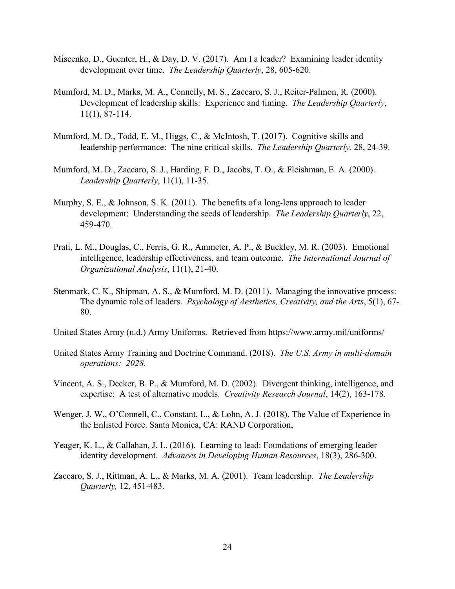- Miscenko, D., Guenter, H., & Day, D. V. (2017). Am I a leader? Examining leader identity development over time. *The Leadership Quarterly*, 28, 605-620.
- Mumford, M. D., Marks, M. A., Connelly, M. S., Zaccaro, S. J., Reiter-Palmon, R. (2000). Development of leadership skills: Experience and timing. *The Leadership Quarterly*, 11(1), 87-114.
- Mumford, M. D., Todd, E. M., Higgs, C., & McIntosh, T. (2017). Cognitive skills and leadership performance: The nine critical skills. *The Leadership Quarterly.* 28, 24-39.
- Mumford, M. D., Zaccaro, S. J., Harding, F. D., Jacobs, T. O., & Fleishman, E. A. (2000). *Leadership Quarterly*, 11(1), 11-35.
- Murphy, S. E., & Johnson, S. K. (2011). The benefits of a long-lens approach to leader development: Understanding the seeds of leadership. *The Leadership Quarterly*, 22, 459-470.
- Prati, L. M., Douglas, C., Ferris, G. R., Ammeter, A. P., & Buckley, M. R. (2003). Emotional intelligence, leadership effectiveness, and team outcome. *The International Journal of Organizational Analysis*, 11(1), 21-40.
- Stenmark, C. K., Shipman, A. S., & Mumford, M. D. (2011). Managing the innovative process: The dynamic role of leaders. *Psychology of Aesthetics, Creativity, and the Arts*, 5(1), 67- 80.
- United States Army (n.d.) Army Uniforms. Retrieved from https://www.army.mil/uniforms/
- United States Army Training and Doctrine Command. (2018). *The U.S. Army in multi-domain operations: 2028.*
- Vincent, A. S., Decker, B. P., & Mumford, M. D. (2002). Divergent thinking, intelligence, and expertise: A test of alternative models. *Creativity Research Journal*, 14(2), 163-178.
- Wenger, J. W., O'Connell, C., Constant, L., & Lohn, A. J. (2018). The Value of Experience in the Enlisted Force. Santa Monica, CA: RAND Corporation,
- Yeager, K. L., & Callahan, J. L. (2016). Learning to lead: Foundations of emerging leader identity development. *Advances in Developing Human Resources*, 18(3), 286-300.
- Zaccaro, S. J., Rittman, A. L., & Marks, M. A. (2001). Team leadership. *The Leadership Quarterly,* 12, 451-483.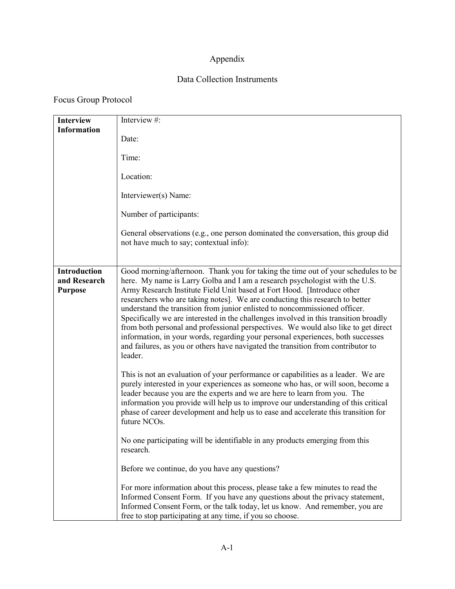## Appendix

### Data Collection Instruments

## Focus Group Protocol

| <b>Interview</b>                                      | Interview #:                                                                                                                                                                                                                                                                                                                                                                                                                                                                                                                                                                                                                                                                                                                                                                                                                                                                                                                                                                                                                                                                                                                                                                                                                                                                                                |
|-------------------------------------------------------|-------------------------------------------------------------------------------------------------------------------------------------------------------------------------------------------------------------------------------------------------------------------------------------------------------------------------------------------------------------------------------------------------------------------------------------------------------------------------------------------------------------------------------------------------------------------------------------------------------------------------------------------------------------------------------------------------------------------------------------------------------------------------------------------------------------------------------------------------------------------------------------------------------------------------------------------------------------------------------------------------------------------------------------------------------------------------------------------------------------------------------------------------------------------------------------------------------------------------------------------------------------------------------------------------------------|
| <b>Information</b>                                    | Date:                                                                                                                                                                                                                                                                                                                                                                                                                                                                                                                                                                                                                                                                                                                                                                                                                                                                                                                                                                                                                                                                                                                                                                                                                                                                                                       |
|                                                       | Time:                                                                                                                                                                                                                                                                                                                                                                                                                                                                                                                                                                                                                                                                                                                                                                                                                                                                                                                                                                                                                                                                                                                                                                                                                                                                                                       |
|                                                       | Location:                                                                                                                                                                                                                                                                                                                                                                                                                                                                                                                                                                                                                                                                                                                                                                                                                                                                                                                                                                                                                                                                                                                                                                                                                                                                                                   |
|                                                       | Interviewer(s) Name:                                                                                                                                                                                                                                                                                                                                                                                                                                                                                                                                                                                                                                                                                                                                                                                                                                                                                                                                                                                                                                                                                                                                                                                                                                                                                        |
|                                                       | Number of participants:                                                                                                                                                                                                                                                                                                                                                                                                                                                                                                                                                                                                                                                                                                                                                                                                                                                                                                                                                                                                                                                                                                                                                                                                                                                                                     |
|                                                       | General observations (e.g., one person dominated the conversation, this group did<br>not have much to say; contextual info):                                                                                                                                                                                                                                                                                                                                                                                                                                                                                                                                                                                                                                                                                                                                                                                                                                                                                                                                                                                                                                                                                                                                                                                |
| <b>Introduction</b><br>and Research<br><b>Purpose</b> | Good morning/afternoon. Thank you for taking the time out of your schedules to be<br>here. My name is Larry Golba and I am a research psychologist with the U.S.<br>Army Research Institute Field Unit based at Fort Hood. [Introduce other<br>researchers who are taking notes]. We are conducting this research to better<br>understand the transition from junior enlisted to noncommissioned officer.<br>Specifically we are interested in the challenges involved in this transition broadly<br>from both personal and professional perspectives. We would also like to get direct<br>information, in your words, regarding your personal experiences, both successes<br>and failures, as you or others have navigated the transition from contributor to<br>leader.<br>This is not an evaluation of your performance or capabilities as a leader. We are<br>purely interested in your experiences as someone who has, or will soon, become a<br>leader because you are the experts and we are here to learn from you. The<br>information you provide will help us to improve our understanding of this critical<br>phase of career development and help us to ease and accelerate this transition for<br>future NCOs.<br>No one participating will be identifiable in any products emerging from this |
|                                                       | research.                                                                                                                                                                                                                                                                                                                                                                                                                                                                                                                                                                                                                                                                                                                                                                                                                                                                                                                                                                                                                                                                                                                                                                                                                                                                                                   |
|                                                       | Before we continue, do you have any questions?                                                                                                                                                                                                                                                                                                                                                                                                                                                                                                                                                                                                                                                                                                                                                                                                                                                                                                                                                                                                                                                                                                                                                                                                                                                              |
|                                                       | For more information about this process, please take a few minutes to read the<br>Informed Consent Form. If you have any questions about the privacy statement,<br>Informed Consent Form, or the talk today, let us know. And remember, you are<br>free to stop participating at any time, if you so choose.                                                                                                                                                                                                                                                                                                                                                                                                                                                                                                                                                                                                                                                                                                                                                                                                                                                                                                                                                                                                |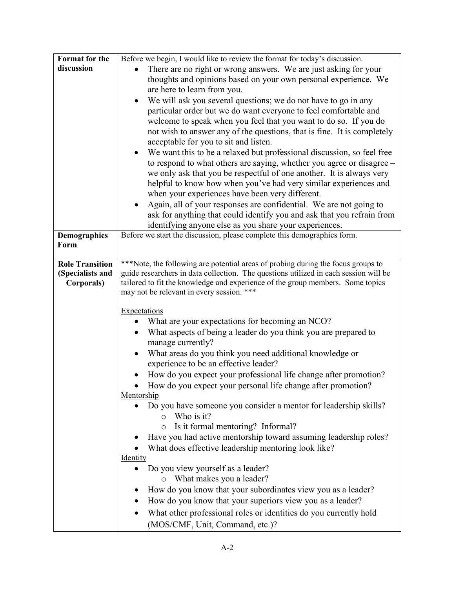| Format for the         | Before we begin, I would like to review the format for today's discussion.                                                       |  |  |
|------------------------|----------------------------------------------------------------------------------------------------------------------------------|--|--|
| discussion             | There are no right or wrong answers. We are just asking for your                                                                 |  |  |
|                        | thoughts and opinions based on your own personal experience. We                                                                  |  |  |
|                        | are here to learn from you.                                                                                                      |  |  |
|                        | We will ask you several questions; we do not have to go in any<br>$\bullet$                                                      |  |  |
|                        | particular order but we do want everyone to feel comfortable and                                                                 |  |  |
|                        | welcome to speak when you feel that you want to do so. If you do                                                                 |  |  |
|                        | not wish to answer any of the questions, that is fine. It is completely                                                          |  |  |
|                        | acceptable for you to sit and listen.                                                                                            |  |  |
|                        | We want this to be a relaxed but professional discussion, so feel free<br>$\bullet$                                              |  |  |
|                        | to respond to what others are saying, whether you agree or disagree -                                                            |  |  |
|                        | we only ask that you be respectful of one another. It is always very                                                             |  |  |
|                        | helpful to know how when you've had very similar experiences and                                                                 |  |  |
|                        | when your experiences have been very different.                                                                                  |  |  |
|                        | Again, all of your responses are confidential. We are not going to                                                               |  |  |
|                        | ask for anything that could identify you and ask that you refrain from<br>identifying anyone else as you share your experiences. |  |  |
| <b>Demographics</b>    | Before we start the discussion, please complete this demographics form.                                                          |  |  |
| Form                   |                                                                                                                                  |  |  |
|                        |                                                                                                                                  |  |  |
| <b>Role Transition</b> | ***Note, the following are potential areas of probing during the focus groups to                                                 |  |  |
| (Specialists and       | guide researchers in data collection. The questions utilized in each session will be                                             |  |  |
| Corporals)             | tailored to fit the knowledge and experience of the group members. Some topics                                                   |  |  |
|                        | may not be relevant in every session. ***                                                                                        |  |  |
|                        | <b>Expectations</b>                                                                                                              |  |  |
|                        | What are your expectations for becoming an NCO?                                                                                  |  |  |
|                        | What aspects of being a leader do you think you are prepared to                                                                  |  |  |
|                        | manage currently?                                                                                                                |  |  |
|                        | What areas do you think you need additional knowledge or<br>$\bullet$                                                            |  |  |
|                        | experience to be an effective leader?                                                                                            |  |  |
|                        | How do you expect your professional life change after promotion?                                                                 |  |  |
|                        | How do you expect your personal life change after promotion?                                                                     |  |  |
|                        | Mentorship                                                                                                                       |  |  |
|                        | Do you have someone you consider a mentor for leadership skills?                                                                 |  |  |
|                        | Who is it?<br>$\circ$                                                                                                            |  |  |
|                        | Is it formal mentoring? Informal?<br>$\circ$                                                                                     |  |  |
|                        | Have you had active mentorship toward assuming leadership roles?                                                                 |  |  |
|                        | What does effective leadership mentoring look like?                                                                              |  |  |
|                        | <b>Identity</b>                                                                                                                  |  |  |
|                        | Do you view yourself as a leader?                                                                                                |  |  |
|                        | o What makes you a leader?                                                                                                       |  |  |
|                        | How do you know that your subordinates view you as a leader?                                                                     |  |  |
|                        | How do you know that your superiors view you as a leader?                                                                        |  |  |
|                        | What other professional roles or identities do you currently hold                                                                |  |  |
|                        | (MOS/CMF, Unit, Command, etc.)?                                                                                                  |  |  |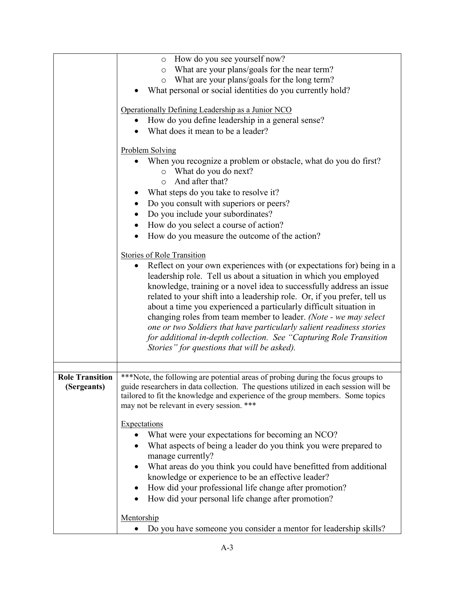|                        | How do you see yourself now?<br>$\circ$                                                                                                                                  |  |  |
|------------------------|--------------------------------------------------------------------------------------------------------------------------------------------------------------------------|--|--|
|                        | What are your plans/goals for the near term?<br>$\circ$                                                                                                                  |  |  |
|                        | What are your plans/goals for the long term?<br>$\circ$                                                                                                                  |  |  |
|                        | What personal or social identities do you currently hold?                                                                                                                |  |  |
|                        | Operationally Defining Leadership as a Junior NCO                                                                                                                        |  |  |
|                        | How do you define leadership in a general sense?                                                                                                                         |  |  |
|                        | What does it mean to be a leader?                                                                                                                                        |  |  |
|                        |                                                                                                                                                                          |  |  |
|                        | <b>Problem Solving</b>                                                                                                                                                   |  |  |
|                        | When you recognize a problem or obstacle, what do you do first?                                                                                                          |  |  |
|                        | o What do you do next?                                                                                                                                                   |  |  |
|                        | And after that?<br>$\circ$                                                                                                                                               |  |  |
|                        | What steps do you take to resolve it?                                                                                                                                    |  |  |
|                        | Do you consult with superiors or peers?                                                                                                                                  |  |  |
|                        | Do you include your subordinates?<br>$\bullet$                                                                                                                           |  |  |
|                        | How do you select a course of action?                                                                                                                                    |  |  |
|                        | How do you measure the outcome of the action?                                                                                                                            |  |  |
|                        |                                                                                                                                                                          |  |  |
|                        | <b>Stories of Role Transition</b>                                                                                                                                        |  |  |
|                        | Reflect on your own experiences with (or expectations for) being in a                                                                                                    |  |  |
|                        | leadership role. Tell us about a situation in which you employed                                                                                                         |  |  |
|                        | knowledge, training or a novel idea to successfully address an issue                                                                                                     |  |  |
|                        | related to your shift into a leadership role. Or, if you prefer, tell us                                                                                                 |  |  |
|                        | about a time you experienced a particularly difficult situation in                                                                                                       |  |  |
|                        | changing roles from team member to leader. (Note - we may select                                                                                                         |  |  |
|                        | one or two Soldiers that have particularly salient readiness stories                                                                                                     |  |  |
|                        | for additional in-depth collection. See "Capturing Role Transition                                                                                                       |  |  |
|                        | Stories" for questions that will be asked).                                                                                                                              |  |  |
|                        |                                                                                                                                                                          |  |  |
| <b>Role Transition</b> |                                                                                                                                                                          |  |  |
| (Sergeants)            | ***Note, the following are potential areas of probing during the focus groups to<br>guide researchers in data collection. The questions utilized in each session will be |  |  |
|                        | tailored to fit the knowledge and experience of the group members. Some topics                                                                                           |  |  |
|                        | may not be relevant in every session. ***                                                                                                                                |  |  |
|                        |                                                                                                                                                                          |  |  |
|                        | <b>Expectations</b>                                                                                                                                                      |  |  |
|                        | What were your expectations for becoming an NCO?                                                                                                                         |  |  |
|                        | What aspects of being a leader do you think you were prepared to                                                                                                         |  |  |
|                        | manage currently?                                                                                                                                                        |  |  |
|                        | What areas do you think you could have benefitted from additional                                                                                                        |  |  |
|                        | knowledge or experience to be an effective leader?                                                                                                                       |  |  |
|                        | How did your professional life change after promotion?                                                                                                                   |  |  |
|                        | How did your personal life change after promotion?                                                                                                                       |  |  |
|                        |                                                                                                                                                                          |  |  |
|                        | Mentorship                                                                                                                                                               |  |  |
|                        | Do you have someone you consider a mentor for leadership skills?                                                                                                         |  |  |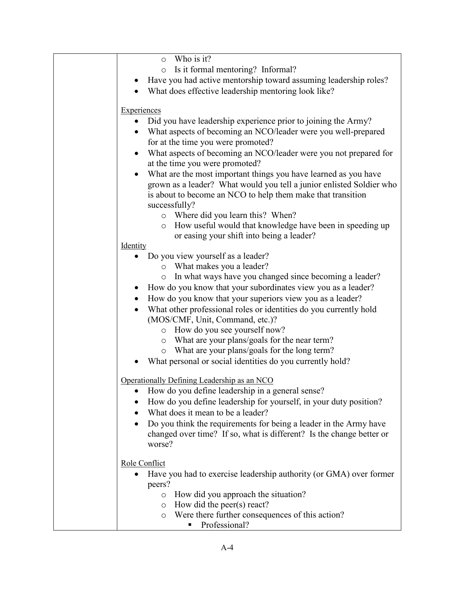| Who is it?<br>$\circ$                                                         |
|-------------------------------------------------------------------------------|
| Is it formal mentoring? Informal?<br>$\circ$                                  |
| Have you had active mentorship toward assuming leadership roles?              |
| What does effective leadership mentoring look like?                           |
|                                                                               |
| Experiences                                                                   |
| Did you have leadership experience prior to joining the Army?<br>$\bullet$    |
| • What aspects of becoming an NCO/leader were you well-prepared               |
| for at the time you were promoted?                                            |
| What aspects of becoming an NCO/leader were you not prepared for<br>$\bullet$ |
| at the time you were promoted?                                                |
| What are the most important things you have learned as you have<br>$\bullet$  |
| grown as a leader? What would you tell a junior enlisted Soldier who          |
| is about to become an NCO to help them make that transition                   |
| successfully?                                                                 |
| Where did you learn this? When?<br>$\circ$                                    |
| How useful would that knowledge have been in speeding up<br>O                 |
| or easing your shift into being a leader?<br>Identity                         |
| Do you view yourself as a leader?                                             |
| o What makes you a leader?                                                    |
| In what ways have you changed since becoming a leader?<br>O                   |
| • How do you know that your subordinates view you as a leader?                |
| How do you know that your superiors view you as a leader?<br>$\bullet$        |
| What other professional roles or identities do you currently hold             |
| (MOS/CMF, Unit, Command, etc.)?                                               |
| How do you see yourself now?<br>$\circ$                                       |
| o What are your plans/goals for the near term?                                |
| o What are your plans/goals for the long term?                                |
| What personal or social identities do you currently hold?                     |
|                                                                               |
| Operationally Defining Leadership as an NCO                                   |
| How do you define leadership in a general sense?                              |
| How do you define leadership for yourself, in your duty position?             |
| What does it mean to be a leader?                                             |
| Do you think the requirements for being a leader in the Army have             |
| changed over time? If so, what is different? Is the change better or          |
| worse?                                                                        |
|                                                                               |
| Role Conflict                                                                 |
| Have you had to exercise leadership authority (or GMA) over former            |
| peers?                                                                        |
| How did you approach the situation?<br>$\circ$<br>How did the peer(s) react?  |
| $\circ$<br>Were there further consequences of this action?<br>$\circ$         |
| Professional?                                                                 |
|                                                                               |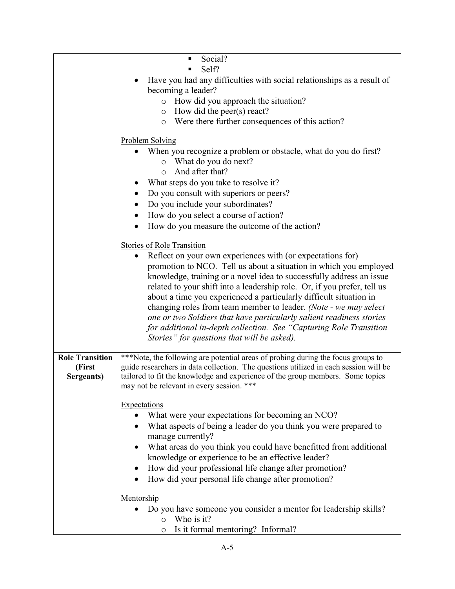|                        | Social?<br>п                                                                         |
|------------------------|--------------------------------------------------------------------------------------|
|                        | Self?                                                                                |
|                        | Have you had any difficulties with social relationships as a result of               |
|                        | becoming a leader?                                                                   |
|                        | o How did you approach the situation?                                                |
|                        | $\circ$ How did the peer(s) react?                                                   |
|                        | o Were there further consequences of this action?                                    |
|                        | <b>Problem Solving</b>                                                               |
|                        | When you recognize a problem or obstacle, what do you do first?                      |
|                        | o What do you do next?                                                               |
|                        | And after that?<br>$\circ$                                                           |
|                        | What steps do you take to resolve it?                                                |
|                        | Do you consult with superiors or peers?                                              |
|                        | Do you include your subordinates?                                                    |
|                        | How do you select a course of action?<br>$\bullet$                                   |
|                        | How do you measure the outcome of the action?                                        |
|                        | <b>Stories of Role Transition</b>                                                    |
|                        | Reflect on your own experiences with (or expectations for)<br>$\bullet$              |
|                        | promotion to NCO. Tell us about a situation in which you employed                    |
|                        | knowledge, training or a novel idea to successfully address an issue                 |
|                        | related to your shift into a leadership role. Or, if you prefer, tell us             |
|                        | about a time you experienced a particularly difficult situation in                   |
|                        | changing roles from team member to leader. (Note - we may select                     |
|                        | one or two Soldiers that have particularly salient readiness stories                 |
|                        | for additional in-depth collection. See "Capturing Role Transition                   |
|                        | Stories" for questions that will be asked).                                          |
| <b>Role Transition</b> | ***Note, the following are potential areas of probing during the focus groups to     |
| (First                 | guide researchers in data collection. The questions utilized in each session will be |
| Sergeants)             | tailored to fit the knowledge and experience of the group members. Some topics       |
|                        | may not be relevant in every session. ***                                            |
|                        | Expectations                                                                         |
|                        | What were your expectations for becoming an NCO?                                     |
|                        | What aspects of being a leader do you think you were prepared to                     |
|                        | manage currently?                                                                    |
|                        | What areas do you think you could have benefitted from additional<br>$\bullet$       |
|                        | knowledge or experience to be an effective leader?                                   |
|                        | How did your professional life change after promotion?<br>$\bullet$                  |
|                        | How did your personal life change after promotion?                                   |
|                        | Mentorship                                                                           |
|                        | Do you have someone you consider a mentor for leadership skills?                     |
|                        | Who is it?<br>$\circ$                                                                |
|                        | Is it formal mentoring? Informal?<br>$\circ$                                         |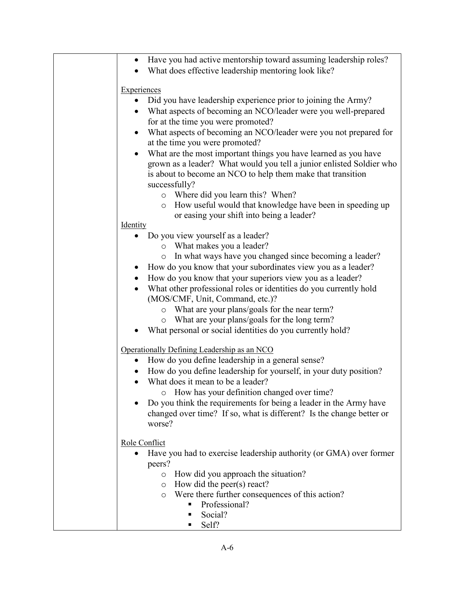| Have you had active mentorship toward assuming leadership roles?<br>$\bullet$ |
|-------------------------------------------------------------------------------|
| What does effective leadership mentoring look like?                           |
|                                                                               |
| <b>Experiences</b>                                                            |
| Did you have leadership experience prior to joining the Army?                 |
| What aspects of becoming an NCO/leader were you well-prepared                 |
| for at the time you were promoted?                                            |
| What aspects of becoming an NCO/leader were you not prepared for<br>$\bullet$ |
| at the time you were promoted?                                                |
| What are the most important things you have learned as you have<br>$\bullet$  |
| grown as a leader? What would you tell a junior enlisted Soldier who          |
| is about to become an NCO to help them make that transition                   |
| successfully?                                                                 |
| o Where did you learn this? When?                                             |
| How useful would that knowledge have been in speeding up<br>$\circ$           |
| or easing your shift into being a leader?                                     |
| Identity                                                                      |
| Do you view yourself as a leader?                                             |
| o What makes you a leader?                                                    |
| In what ways have you changed since becoming a leader?<br>$\circ$             |
| • How do you know that your subordinates view you as a leader?                |
| How do you know that your superiors view you as a leader?<br>$\bullet$        |
| What other professional roles or identities do you currently hold             |
| (MOS/CMF, Unit, Command, etc.)?                                               |
| o What are your plans/goals for the near term?                                |
| What are your plans/goals for the long term?<br>$\circ$                       |
| What personal or social identities do you currently hold?                     |
| Operationally Defining Leadership as an NCO                                   |
| How do you define leadership in a general sense?<br>$\bullet$                 |
| How do you define leadership for yourself, in your duty position?             |
| What does it mean to be a leader?<br>$\bullet$                                |
| How has your definition changed over time?                                    |
| Do you think the requirements for being a leader in the Army have             |
| changed over time? If so, what is different? Is the change better or          |
| worse?                                                                        |
| Role Conflict                                                                 |
| Have you had to exercise leadership authority (or GMA) over former            |
| peers?                                                                        |
| How did you approach the situation?<br>$\circ$                                |
| How did the peer(s) react?<br>$\circ$                                         |
| Were there further consequences of this action?<br>$\circ$                    |
| Professional?                                                                 |
| Social?                                                                       |
| Self?<br>٠                                                                    |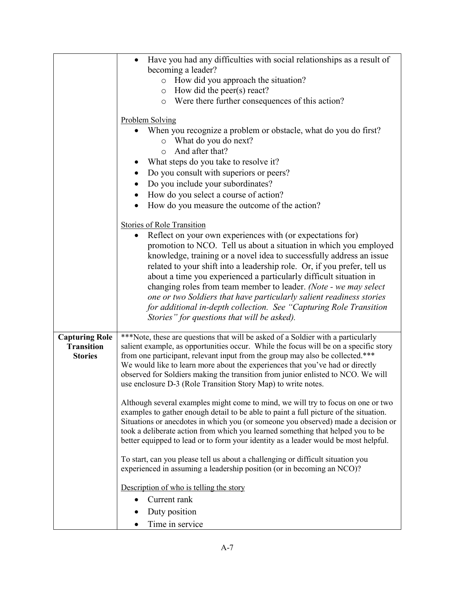|                       | Have you had any difficulties with social relationships as a result of                                                                                         |  |  |
|-----------------------|----------------------------------------------------------------------------------------------------------------------------------------------------------------|--|--|
|                       | becoming a leader?<br>How did you approach the situation?<br>$\circ$                                                                                           |  |  |
|                       | $\circ$ How did the peer(s) react?                                                                                                                             |  |  |
|                       | o Were there further consequences of this action?                                                                                                              |  |  |
|                       |                                                                                                                                                                |  |  |
|                       | <b>Problem Solving</b>                                                                                                                                         |  |  |
|                       | When you recognize a problem or obstacle, what do you do first?<br>o What do you do next?                                                                      |  |  |
|                       | And after that?<br>$\Omega$                                                                                                                                    |  |  |
|                       | What steps do you take to resolve it?                                                                                                                          |  |  |
|                       | Do you consult with superiors or peers?                                                                                                                        |  |  |
|                       | Do you include your subordinates?                                                                                                                              |  |  |
|                       | How do you select a course of action?                                                                                                                          |  |  |
|                       | How do you measure the outcome of the action?                                                                                                                  |  |  |
|                       |                                                                                                                                                                |  |  |
|                       | <b>Stories of Role Transition</b>                                                                                                                              |  |  |
|                       | Reflect on your own experiences with (or expectations for)<br>promotion to NCO. Tell us about a situation in which you employed                                |  |  |
|                       | knowledge, training or a novel idea to successfully address an issue                                                                                           |  |  |
|                       | related to your shift into a leadership role. Or, if you prefer, tell us                                                                                       |  |  |
|                       | about a time you experienced a particularly difficult situation in                                                                                             |  |  |
|                       | changing roles from team member to leader. (Note - we may select                                                                                               |  |  |
|                       | one or two Soldiers that have particularly salient readiness stories                                                                                           |  |  |
|                       | for additional in-depth collection. See "Capturing Role Transition<br>Stories" for questions that will be asked).                                              |  |  |
|                       |                                                                                                                                                                |  |  |
| <b>Capturing Role</b> | ***Note, these are questions that will be asked of a Soldier with a particularly                                                                               |  |  |
| <b>Transition</b>     | salient example, as opportunities occur. While the focus will be on a specific story                                                                           |  |  |
| <b>Stories</b>        | from one participant, relevant input from the group may also be collected.***<br>We would like to learn more about the experiences that you've had or directly |  |  |
|                       | observed for Soldiers making the transition from junior enlisted to NCO. We will                                                                               |  |  |
|                       | use enclosure D-3 (Role Transition Story Map) to write notes.                                                                                                  |  |  |
|                       | Although several examples might come to mind, we will try to focus on one or two                                                                               |  |  |
|                       | examples to gather enough detail to be able to paint a full picture of the situation.                                                                          |  |  |
|                       | Situations or anecdotes in which you (or someone you observed) made a decision or                                                                              |  |  |
|                       | took a deliberate action from which you learned something that helped you to be                                                                                |  |  |
|                       | better equipped to lead or to form your identity as a leader would be most helpful.                                                                            |  |  |
|                       | To start, can you please tell us about a challenging or difficult situation you                                                                                |  |  |
|                       | experienced in assuming a leadership position (or in becoming an NCO)?                                                                                         |  |  |
|                       | Description of who is telling the story                                                                                                                        |  |  |
|                       | Current rank                                                                                                                                                   |  |  |
|                       | Duty position                                                                                                                                                  |  |  |
|                       | Time in service                                                                                                                                                |  |  |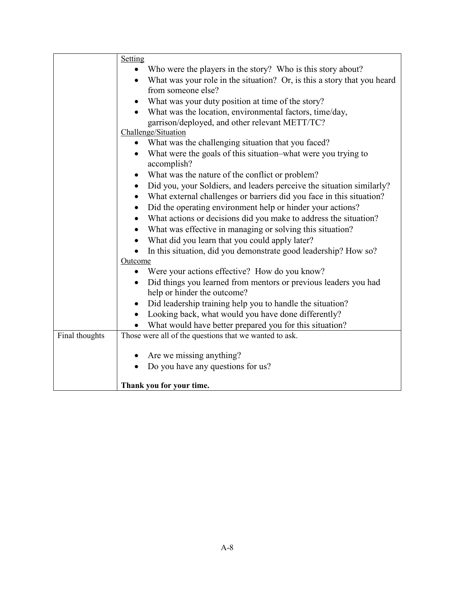|                | Setting                                                                            |
|----------------|------------------------------------------------------------------------------------|
|                | Who were the players in the story? Who is this story about?                        |
|                | What was your role in the situation? Or, is this a story that you heard            |
|                | from someone else?                                                                 |
|                | What was your duty position at time of the story?                                  |
|                | What was the location, environmental factors, time/day,                            |
|                | garrison/deployed, and other relevant METT/TC?                                     |
|                | Challenge/Situation                                                                |
|                | • What was the challenging situation that you faced?                               |
|                | What were the goals of this situation–what were you trying to<br>accomplish?       |
|                | What was the nature of the conflict or problem?<br>$\bullet$                       |
|                | Did you, your Soldiers, and leaders perceive the situation similarly?<br>$\bullet$ |
|                | What external challenges or barriers did you face in this situation?<br>$\bullet$  |
|                | Did the operating environment help or hinder your actions?<br>$\bullet$            |
|                | What actions or decisions did you make to address the situation?<br>$\bullet$      |
|                | What was effective in managing or solving this situation?<br>$\bullet$             |
|                | What did you learn that you could apply later?                                     |
|                | In this situation, did you demonstrate good leadership? How so?                    |
|                | Outcome                                                                            |
|                | Were your actions effective? How do you know?                                      |
|                | Did things you learned from mentors or previous leaders you had<br>$\bullet$       |
|                | help or hinder the outcome?                                                        |
|                | Did leadership training help you to handle the situation?                          |
|                | Looking back, what would you have done differently?                                |
|                | What would have better prepared you for this situation?                            |
| Final thoughts | Those were all of the questions that we wanted to ask.                             |
|                |                                                                                    |
|                | Are we missing anything?                                                           |
|                | Do you have any questions for us?                                                  |
|                |                                                                                    |
|                | Thank you for your time.                                                           |